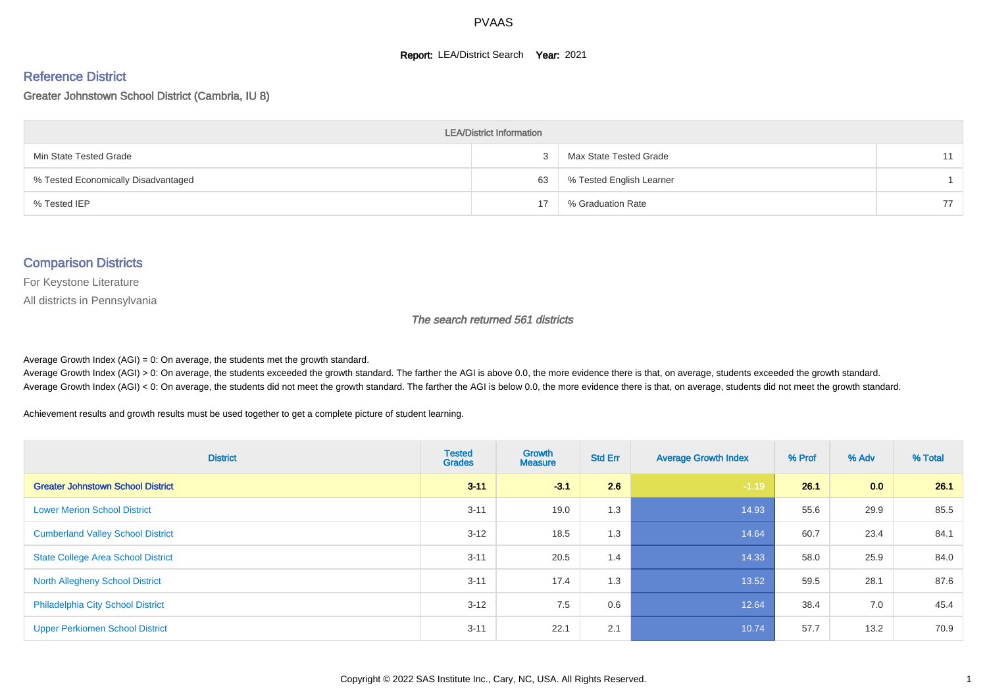#### **Report: LEA/District Search Year: 2021**

#### Reference District

#### Greater Johnstown School District (Cambria, IU 8)

| <b>LEA/District Information</b>     |    |                          |    |  |  |  |  |  |  |  |
|-------------------------------------|----|--------------------------|----|--|--|--|--|--|--|--|
| Min State Tested Grade              |    | Max State Tested Grade   |    |  |  |  |  |  |  |  |
| % Tested Economically Disadvantaged | 63 | % Tested English Learner |    |  |  |  |  |  |  |  |
| % Tested IEP                        | 17 | % Graduation Rate        | 77 |  |  |  |  |  |  |  |

#### Comparison Districts

For Keystone Literature

All districts in Pennsylvania

The search returned 561 districts

Average Growth Index  $(AGI) = 0$ : On average, the students met the growth standard.

Average Growth Index (AGI) > 0: On average, the students exceeded the growth standard. The farther the AGI is above 0.0, the more evidence there is that, on average, students exceeded the growth standard. Average Growth Index (AGI) < 0: On average, the students did not meet the growth standard. The farther the AGI is below 0.0, the more evidence there is that, on average, students did not meet the growth standard.

Achievement results and growth results must be used together to get a complete picture of student learning.

| <b>District</b>                           | <b>Tested</b><br><b>Grades</b> | <b>Growth</b><br><b>Measure</b> | <b>Std Err</b> | <b>Average Growth Index</b> | % Prof | % Adv | % Total |
|-------------------------------------------|--------------------------------|---------------------------------|----------------|-----------------------------|--------|-------|---------|
| <b>Greater Johnstown School District</b>  | $3 - 11$                       | $-3.1$                          | 2.6            | $-1.19$                     | 26.1   | 0.0   | 26.1    |
| <b>Lower Merion School District</b>       | $3 - 11$                       | 19.0                            | 1.3            | 14.93                       | 55.6   | 29.9  | 85.5    |
| <b>Cumberland Valley School District</b>  | $3 - 12$                       | 18.5                            | 1.3            | 14.64                       | 60.7   | 23.4  | 84.1    |
| <b>State College Area School District</b> | $3 - 11$                       | 20.5                            | 1.4            | 14.33                       | 58.0   | 25.9  | 84.0    |
| <b>North Allegheny School District</b>    | $3 - 11$                       | 17.4                            | 1.3            | 13.52                       | 59.5   | 28.1  | 87.6    |
| <b>Philadelphia City School District</b>  | $3 - 12$                       | 7.5                             | 0.6            | 12.64                       | 38.4   | 7.0   | 45.4    |
| <b>Upper Perkiomen School District</b>    | $3 - 11$                       | 22.1                            | 2.1            | 10.74                       | 57.7   | 13.2  | 70.9    |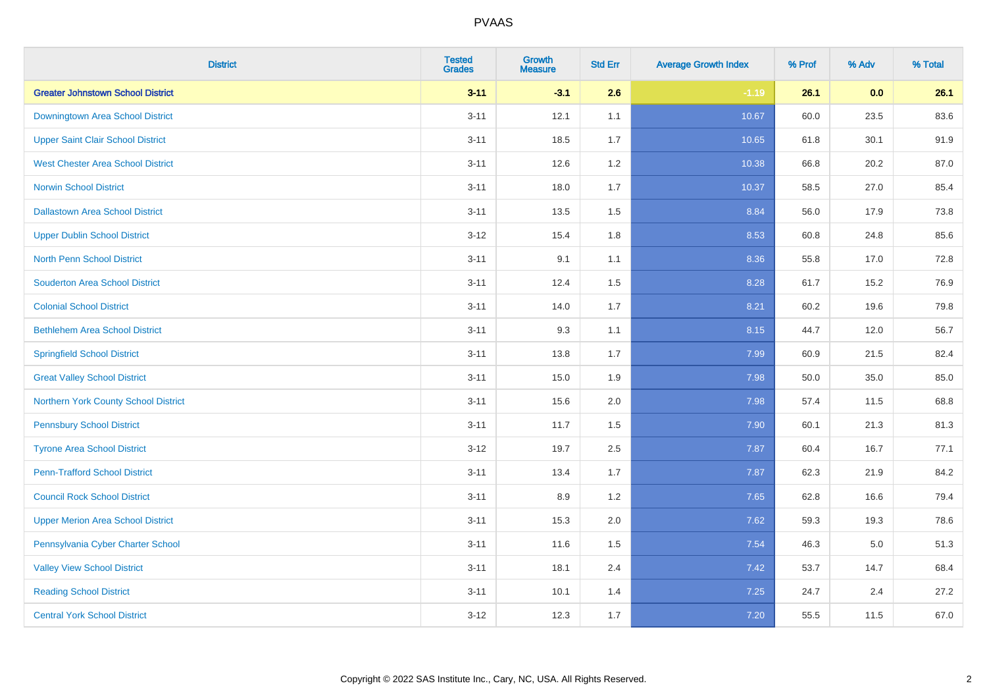| <b>District</b>                          | <b>Tested</b><br><b>Grades</b> | <b>Growth</b><br><b>Measure</b> | <b>Std Err</b> | <b>Average Growth Index</b> | % Prof | % Adv   | % Total |
|------------------------------------------|--------------------------------|---------------------------------|----------------|-----------------------------|--------|---------|---------|
| <b>Greater Johnstown School District</b> | $3 - 11$                       | $-3.1$                          | 2.6            | $-1.19$                     | 26.1   | 0.0     | 26.1    |
| Downingtown Area School District         | $3 - 11$                       | 12.1                            | 1.1            | 10.67                       | 60.0   | 23.5    | 83.6    |
| <b>Upper Saint Clair School District</b> | $3 - 11$                       | 18.5                            | 1.7            | 10.65                       | 61.8   | 30.1    | 91.9    |
| <b>West Chester Area School District</b> | $3 - 11$                       | 12.6                            | 1.2            | 10.38                       | 66.8   | 20.2    | 87.0    |
| <b>Norwin School District</b>            | $3 - 11$                       | 18.0                            | 1.7            | 10.37                       | 58.5   | 27.0    | 85.4    |
| <b>Dallastown Area School District</b>   | $3 - 11$                       | 13.5                            | 1.5            | 8.84                        | 56.0   | 17.9    | 73.8    |
| <b>Upper Dublin School District</b>      | $3-12$                         | 15.4                            | 1.8            | 8.53                        | 60.8   | 24.8    | 85.6    |
| <b>North Penn School District</b>        | $3 - 11$                       | 9.1                             | 1.1            | 8.36                        | 55.8   | 17.0    | 72.8    |
| <b>Souderton Area School District</b>    | $3 - 11$                       | 12.4                            | 1.5            | 8.28                        | 61.7   | 15.2    | 76.9    |
| <b>Colonial School District</b>          | $3 - 11$                       | 14.0                            | 1.7            | 8.21                        | 60.2   | 19.6    | 79.8    |
| <b>Bethlehem Area School District</b>    | $3 - 11$                       | 9.3                             | 1.1            | 8.15                        | 44.7   | 12.0    | 56.7    |
| <b>Springfield School District</b>       | $3 - 11$                       | 13.8                            | 1.7            | 7.99                        | 60.9   | 21.5    | 82.4    |
| <b>Great Valley School District</b>      | $3 - 11$                       | 15.0                            | 1.9            | 7.98                        | 50.0   | 35.0    | 85.0    |
| Northern York County School District     | $3 - 11$                       | 15.6                            | 2.0            | 7.98                        | 57.4   | 11.5    | 68.8    |
| <b>Pennsbury School District</b>         | $3 - 11$                       | 11.7                            | 1.5            | 7.90                        | 60.1   | 21.3    | 81.3    |
| <b>Tyrone Area School District</b>       | $3 - 12$                       | 19.7                            | 2.5            | 7.87                        | 60.4   | 16.7    | 77.1    |
| <b>Penn-Trafford School District</b>     | $3 - 11$                       | 13.4                            | 1.7            | 7.87                        | 62.3   | 21.9    | 84.2    |
| <b>Council Rock School District</b>      | $3 - 11$                       | 8.9                             | 1.2            | 7.65                        | 62.8   | 16.6    | 79.4    |
| <b>Upper Merion Area School District</b> | $3 - 11$                       | 15.3                            | 2.0            | 7.62                        | 59.3   | 19.3    | 78.6    |
| Pennsylvania Cyber Charter School        | $3 - 11$                       | 11.6                            | 1.5            | 7.54                        | 46.3   | $5.0\,$ | 51.3    |
| <b>Valley View School District</b>       | $3 - 11$                       | 18.1                            | 2.4            | 7.42                        | 53.7   | 14.7    | 68.4    |
| <b>Reading School District</b>           | $3 - 11$                       | 10.1                            | 1.4            | 7.25                        | 24.7   | 2.4     | 27.2    |
| <b>Central York School District</b>      | $3-12$                         | 12.3                            | 1.7            | $7.20$                      | 55.5   | 11.5    | 67.0    |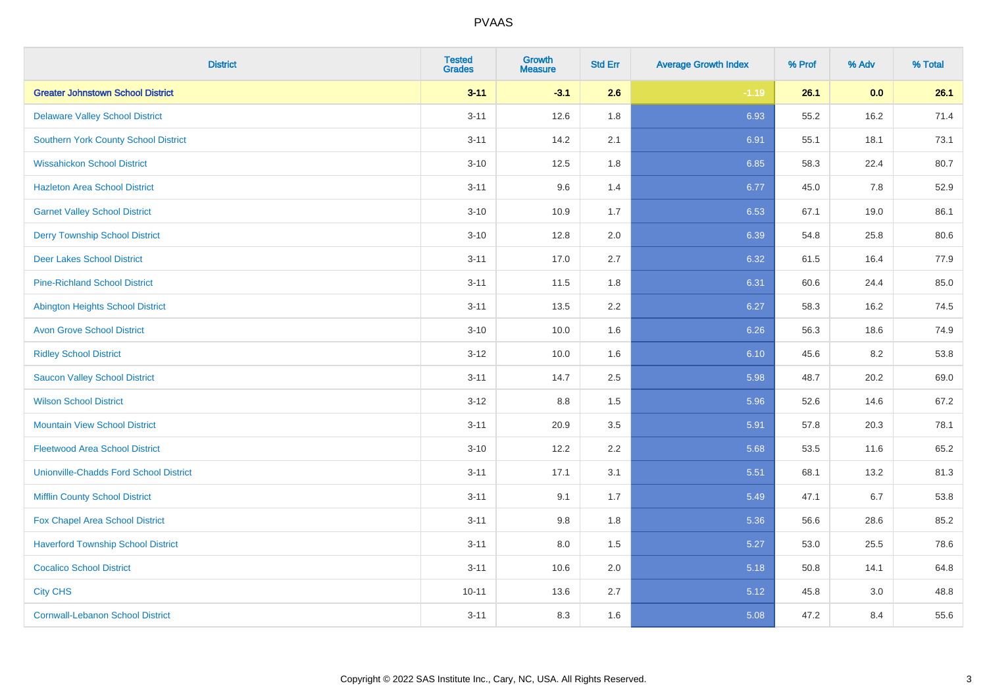| <b>District</b>                               | <b>Tested</b><br><b>Grades</b> | <b>Growth</b><br><b>Measure</b> | <b>Std Err</b> | <b>Average Growth Index</b> | % Prof | % Adv | % Total |
|-----------------------------------------------|--------------------------------|---------------------------------|----------------|-----------------------------|--------|-------|---------|
| <b>Greater Johnstown School District</b>      | $3 - 11$                       | $-3.1$                          | 2.6            | $-1.19$                     | 26.1   | 0.0   | 26.1    |
| <b>Delaware Valley School District</b>        | $3 - 11$                       | 12.6                            | 1.8            | 6.93                        | 55.2   | 16.2  | 71.4    |
| <b>Southern York County School District</b>   | $3 - 11$                       | 14.2                            | 2.1            | 6.91                        | 55.1   | 18.1  | 73.1    |
| <b>Wissahickon School District</b>            | $3 - 10$                       | 12.5                            | 1.8            | 6.85                        | 58.3   | 22.4  | 80.7    |
| <b>Hazleton Area School District</b>          | $3 - 11$                       | 9.6                             | 1.4            | 6.77                        | 45.0   | 7.8   | 52.9    |
| <b>Garnet Valley School District</b>          | $3 - 10$                       | 10.9                            | 1.7            | 6.53                        | 67.1   | 19.0  | 86.1    |
| <b>Derry Township School District</b>         | $3 - 10$                       | 12.8                            | 2.0            | 6.39                        | 54.8   | 25.8  | 80.6    |
| <b>Deer Lakes School District</b>             | $3 - 11$                       | 17.0                            | 2.7            | 6.32                        | 61.5   | 16.4  | 77.9    |
| <b>Pine-Richland School District</b>          | $3 - 11$                       | 11.5                            | 1.8            | 6.31                        | 60.6   | 24.4  | 85.0    |
| <b>Abington Heights School District</b>       | $3 - 11$                       | 13.5                            | 2.2            | 6.27                        | 58.3   | 16.2  | 74.5    |
| <b>Avon Grove School District</b>             | $3 - 10$                       | 10.0                            | 1.6            | 6.26                        | 56.3   | 18.6  | 74.9    |
| <b>Ridley School District</b>                 | $3 - 12$                       | 10.0                            | 1.6            | 6.10                        | 45.6   | 8.2   | 53.8    |
| <b>Saucon Valley School District</b>          | $3 - 11$                       | 14.7                            | 2.5            | 5.98                        | 48.7   | 20.2  | 69.0    |
| <b>Wilson School District</b>                 | $3-12$                         | 8.8                             | 1.5            | 5.96                        | 52.6   | 14.6  | 67.2    |
| <b>Mountain View School District</b>          | $3 - 11$                       | 20.9                            | 3.5            | 5.91                        | 57.8   | 20.3  | 78.1    |
| <b>Fleetwood Area School District</b>         | $3 - 10$                       | 12.2                            | 2.2            | 5.68                        | 53.5   | 11.6  | 65.2    |
| <b>Unionville-Chadds Ford School District</b> | $3 - 11$                       | 17.1                            | 3.1            | 5.51                        | 68.1   | 13.2  | 81.3    |
| <b>Mifflin County School District</b>         | $3 - 11$                       | 9.1                             | 1.7            | 5.49                        | 47.1   | 6.7   | 53.8    |
| Fox Chapel Area School District               | $3 - 11$                       | 9.8                             | 1.8            | 5.36                        | 56.6   | 28.6  | 85.2    |
| <b>Haverford Township School District</b>     | $3 - 11$                       | 8.0                             | 1.5            | 5.27                        | 53.0   | 25.5  | 78.6    |
| <b>Cocalico School District</b>               | $3 - 11$                       | 10.6                            | 2.0            | 5.18                        | 50.8   | 14.1  | 64.8    |
| <b>City CHS</b>                               | $10 - 11$                      | 13.6                            | 2.7            | 5.12                        | 45.8   | 3.0   | 48.8    |
| <b>Cornwall-Lebanon School District</b>       | $3 - 11$                       | 8.3                             | 1.6            | 5.08                        | 47.2   | 8.4   | 55.6    |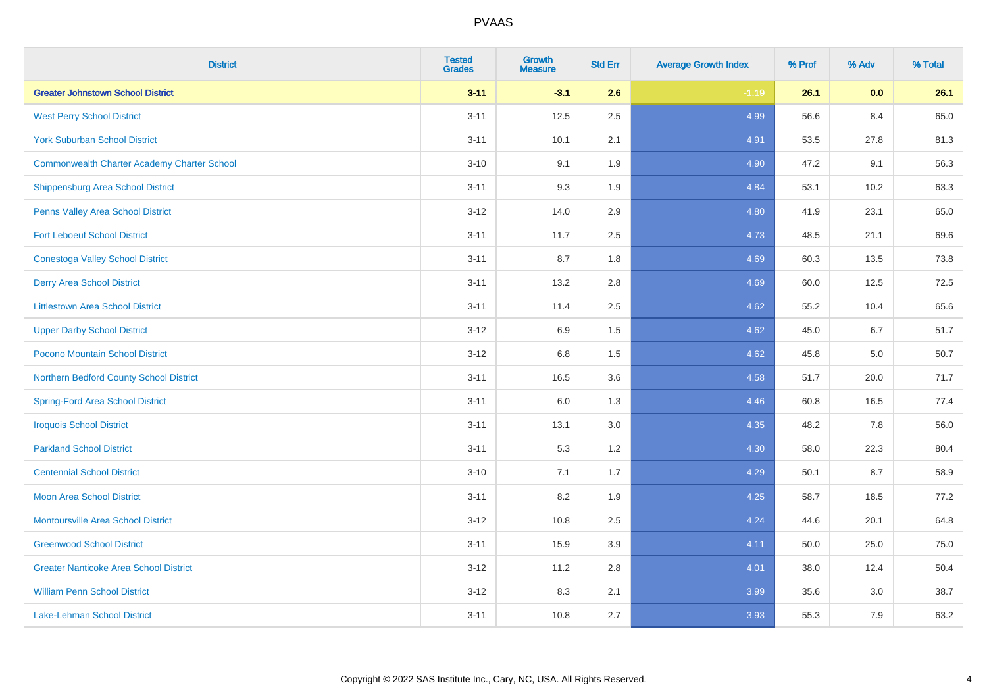| <b>District</b>                                    | <b>Tested</b><br><b>Grades</b> | <b>Growth</b><br><b>Measure</b> | <b>Std Err</b> | <b>Average Growth Index</b> | % Prof | % Adv | % Total |
|----------------------------------------------------|--------------------------------|---------------------------------|----------------|-----------------------------|--------|-------|---------|
| <b>Greater Johnstown School District</b>           | $3 - 11$                       | $-3.1$                          | 2.6            | $-1.19$                     | 26.1   | 0.0   | 26.1    |
| <b>West Perry School District</b>                  | $3 - 11$                       | 12.5                            | 2.5            | 4.99                        | 56.6   | 8.4   | 65.0    |
| <b>York Suburban School District</b>               | $3 - 11$                       | 10.1                            | 2.1            | 4.91                        | 53.5   | 27.8  | 81.3    |
| <b>Commonwealth Charter Academy Charter School</b> | $3 - 10$                       | 9.1                             | 1.9            | 4.90                        | 47.2   | 9.1   | 56.3    |
| Shippensburg Area School District                  | $3 - 11$                       | 9.3                             | 1.9            | 4.84                        | 53.1   | 10.2  | 63.3    |
| Penns Valley Area School District                  | $3 - 12$                       | 14.0                            | 2.9            | 4.80                        | 41.9   | 23.1  | 65.0    |
| <b>Fort Leboeuf School District</b>                | $3 - 11$                       | 11.7                            | 2.5            | 4.73                        | 48.5   | 21.1  | 69.6    |
| <b>Conestoga Valley School District</b>            | $3 - 11$                       | 8.7                             | 1.8            | 4.69                        | 60.3   | 13.5  | 73.8    |
| <b>Derry Area School District</b>                  | $3 - 11$                       | 13.2                            | 2.8            | 4.69                        | 60.0   | 12.5  | 72.5    |
| <b>Littlestown Area School District</b>            | $3 - 11$                       | 11.4                            | 2.5            | 4.62                        | 55.2   | 10.4  | 65.6    |
| <b>Upper Darby School District</b>                 | $3 - 12$                       | 6.9                             | 1.5            | 4.62                        | 45.0   | 6.7   | 51.7    |
| Pocono Mountain School District                    | $3 - 12$                       | $6.8\,$                         | 1.5            | 4.62                        | 45.8   | 5.0   | 50.7    |
| Northern Bedford County School District            | $3 - 11$                       | 16.5                            | 3.6            | 4.58                        | 51.7   | 20.0  | 71.7    |
| <b>Spring-Ford Area School District</b>            | $3 - 11$                       | 6.0                             | 1.3            | 4.46                        | 60.8   | 16.5  | 77.4    |
| <b>Iroquois School District</b>                    | $3 - 11$                       | 13.1                            | 3.0            | 4.35                        | 48.2   | 7.8   | 56.0    |
| <b>Parkland School District</b>                    | $3 - 11$                       | 5.3                             | 1.2            | 4.30                        | 58.0   | 22.3  | 80.4    |
| <b>Centennial School District</b>                  | $3 - 10$                       | 7.1                             | 1.7            | 4.29                        | 50.1   | 8.7   | 58.9    |
| <b>Moon Area School District</b>                   | $3 - 11$                       | 8.2                             | 1.9            | 4.25                        | 58.7   | 18.5  | 77.2    |
| <b>Montoursville Area School District</b>          | $3 - 12$                       | 10.8                            | 2.5            | 4.24                        | 44.6   | 20.1  | 64.8    |
| <b>Greenwood School District</b>                   | $3 - 11$                       | 15.9                            | 3.9            | 4.11                        | 50.0   | 25.0  | 75.0    |
| <b>Greater Nanticoke Area School District</b>      | $3-12$                         | 11.2                            | 2.8            | 4.01                        | 38.0   | 12.4  | 50.4    |
| <b>William Penn School District</b>                | $3 - 12$                       | 8.3                             | 2.1            | 3.99                        | 35.6   | 3.0   | 38.7    |
| Lake-Lehman School District                        | $3 - 11$                       | 10.8                            | 2.7            | 3.93                        | 55.3   | 7.9   | 63.2    |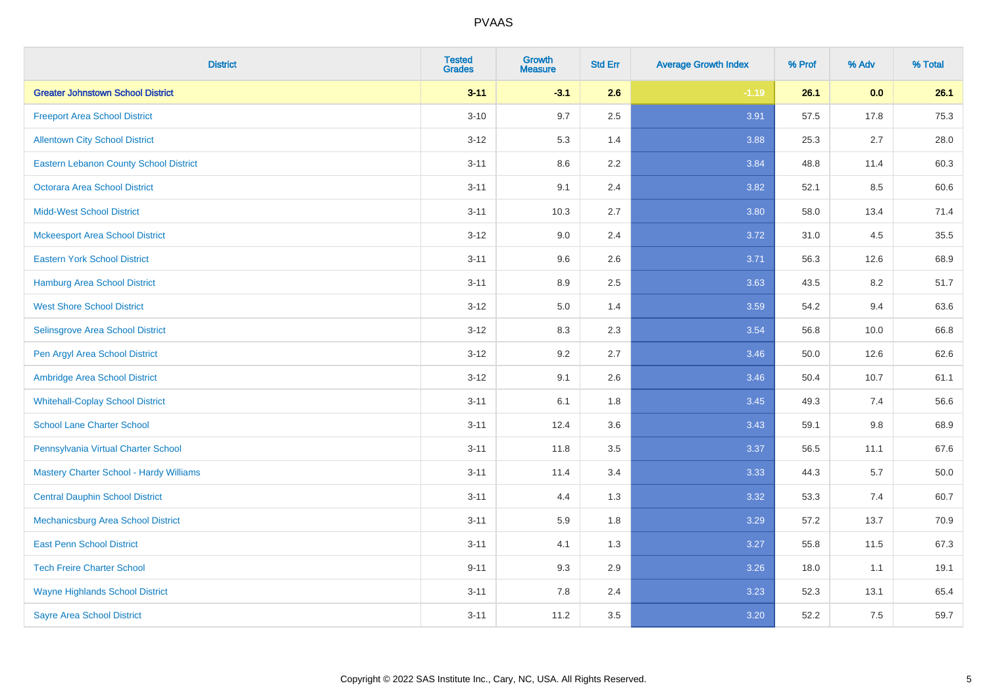| <b>District</b>                               | <b>Tested</b><br><b>Grades</b> | <b>Growth</b><br><b>Measure</b> | <b>Std Err</b> | <b>Average Growth Index</b> | % Prof | % Adv | % Total |
|-----------------------------------------------|--------------------------------|---------------------------------|----------------|-----------------------------|--------|-------|---------|
| <b>Greater Johnstown School District</b>      | $3 - 11$                       | $-3.1$                          | 2.6            | $-1.19$                     | 26.1   | 0.0   | 26.1    |
| <b>Freeport Area School District</b>          | $3 - 10$                       | 9.7                             | 2.5            | 3.91                        | 57.5   | 17.8  | 75.3    |
| <b>Allentown City School District</b>         | $3 - 12$                       | 5.3                             | 1.4            | 3.88                        | 25.3   | 2.7   | 28.0    |
| <b>Eastern Lebanon County School District</b> | $3 - 11$                       | 8.6                             | 2.2            | 3.84                        | 48.8   | 11.4  | 60.3    |
| <b>Octorara Area School District</b>          | $3 - 11$                       | 9.1                             | 2.4            | 3.82                        | 52.1   | 8.5   | 60.6    |
| <b>Midd-West School District</b>              | $3 - 11$                       | 10.3                            | 2.7            | 3.80                        | 58.0   | 13.4  | 71.4    |
| <b>Mckeesport Area School District</b>        | $3 - 12$                       | 9.0                             | 2.4            | 3.72                        | 31.0   | 4.5   | 35.5    |
| <b>Eastern York School District</b>           | $3 - 11$                       | 9.6                             | 2.6            | 3.71                        | 56.3   | 12.6  | 68.9    |
| <b>Hamburg Area School District</b>           | $3 - 11$                       | 8.9                             | 2.5            | 3.63                        | 43.5   | 8.2   | 51.7    |
| <b>West Shore School District</b>             | $3-12$                         | 5.0                             | 1.4            | 3.59                        | 54.2   | 9.4   | 63.6    |
| Selinsgrove Area School District              | $3 - 12$                       | 8.3                             | 2.3            | 3.54                        | 56.8   | 10.0  | 66.8    |
| Pen Argyl Area School District                | $3 - 12$                       | 9.2                             | 2.7            | 3.46                        | 50.0   | 12.6  | 62.6    |
| Ambridge Area School District                 | $3-12$                         | 9.1                             | 2.6            | 3.46                        | 50.4   | 10.7  | 61.1    |
| <b>Whitehall-Coplay School District</b>       | $3 - 11$                       | 6.1                             | 1.8            | 3.45                        | 49.3   | 7.4   | 56.6    |
| <b>School Lane Charter School</b>             | $3 - 11$                       | 12.4                            | 3.6            | 3.43                        | 59.1   | 9.8   | 68.9    |
| Pennsylvania Virtual Charter School           | $3 - 11$                       | 11.8                            | 3.5            | 3.37                        | 56.5   | 11.1  | 67.6    |
| Mastery Charter School - Hardy Williams       | $3 - 11$                       | 11.4                            | 3.4            | 3.33                        | 44.3   | 5.7   | 50.0    |
| <b>Central Dauphin School District</b>        | $3 - 11$                       | 4.4                             | 1.3            | 3.32                        | 53.3   | 7.4   | 60.7    |
| Mechanicsburg Area School District            | $3 - 11$                       | 5.9                             | 1.8            | 3.29                        | 57.2   | 13.7  | 70.9    |
| <b>East Penn School District</b>              | $3 - 11$                       | 4.1                             | 1.3            | 3.27                        | 55.8   | 11.5  | 67.3    |
| <b>Tech Freire Charter School</b>             | $9 - 11$                       | 9.3                             | 2.9            | 3.26                        | 18.0   | 1.1   | 19.1    |
| <b>Wayne Highlands School District</b>        | $3 - 11$                       | 7.8                             | 2.4            | 3.23                        | 52.3   | 13.1  | 65.4    |
| <b>Sayre Area School District</b>             | $3 - 11$                       | 11.2                            | 3.5            | 3.20                        | 52.2   | 7.5   | 59.7    |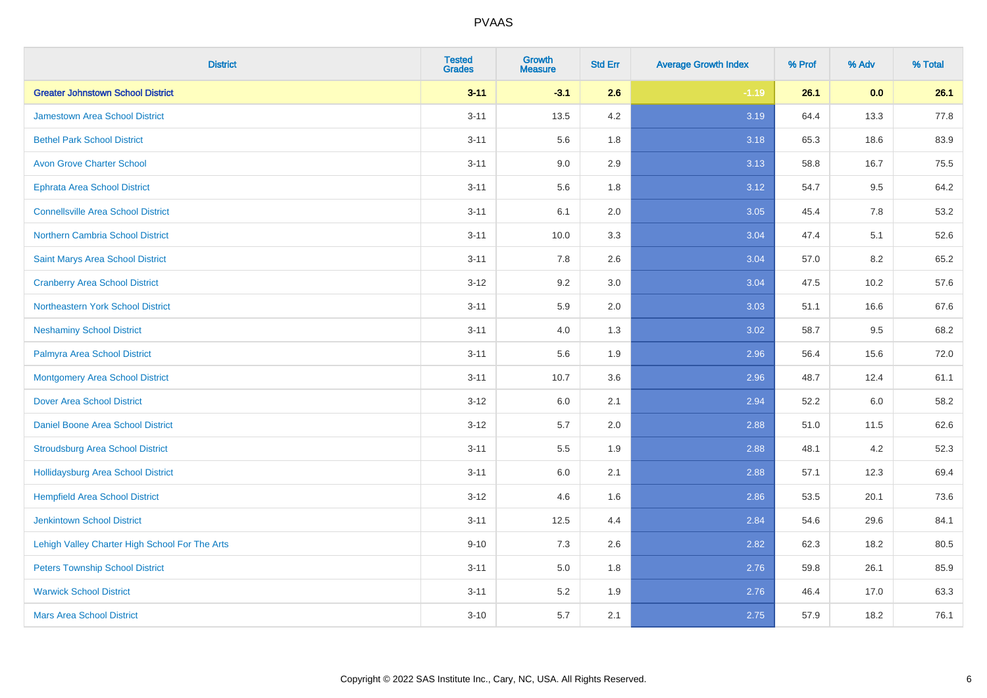| <b>District</b>                                | <b>Tested</b><br><b>Grades</b> | <b>Growth</b><br><b>Measure</b> | <b>Std Err</b> | <b>Average Growth Index</b> | % Prof | % Adv | % Total |
|------------------------------------------------|--------------------------------|---------------------------------|----------------|-----------------------------|--------|-------|---------|
| <b>Greater Johnstown School District</b>       | $3 - 11$                       | $-3.1$                          | 2.6            | $-1.19$                     | 26.1   | 0.0   | 26.1    |
| <b>Jamestown Area School District</b>          | $3 - 11$                       | 13.5                            | 4.2            | 3.19                        | 64.4   | 13.3  | 77.8    |
| <b>Bethel Park School District</b>             | $3 - 11$                       | 5.6                             | 1.8            | 3.18                        | 65.3   | 18.6  | 83.9    |
| <b>Avon Grove Charter School</b>               | $3 - 11$                       | 9.0                             | 2.9            | 3.13                        | 58.8   | 16.7  | 75.5    |
| <b>Ephrata Area School District</b>            | $3 - 11$                       | 5.6                             | 1.8            | 3.12                        | 54.7   | 9.5   | 64.2    |
| <b>Connellsville Area School District</b>      | $3 - 11$                       | 6.1                             | 2.0            | 3.05                        | 45.4   | 7.8   | 53.2    |
| Northern Cambria School District               | $3 - 11$                       | 10.0                            | 3.3            | 3.04                        | 47.4   | 5.1   | 52.6    |
| <b>Saint Marys Area School District</b>        | $3 - 11$                       | 7.8                             | 2.6            | 3.04                        | 57.0   | 8.2   | 65.2    |
| <b>Cranberry Area School District</b>          | $3-12$                         | 9.2                             | 3.0            | 3.04                        | 47.5   | 10.2  | 57.6    |
| Northeastern York School District              | $3 - 11$                       | 5.9                             | 2.0            | 3.03                        | 51.1   | 16.6  | 67.6    |
| <b>Neshaminy School District</b>               | $3 - 11$                       | 4.0                             | 1.3            | 3.02                        | 58.7   | 9.5   | 68.2    |
| Palmyra Area School District                   | $3 - 11$                       | 5.6                             | 1.9            | 2.96                        | 56.4   | 15.6  | 72.0    |
| Montgomery Area School District                | $3 - 11$                       | 10.7                            | 3.6            | 2.96                        | 48.7   | 12.4  | 61.1    |
| <b>Dover Area School District</b>              | $3 - 12$                       | 6.0                             | 2.1            | 2.94                        | 52.2   | 6.0   | 58.2    |
| <b>Daniel Boone Area School District</b>       | $3-12$                         | 5.7                             | 2.0            | 2.88                        | 51.0   | 11.5  | 62.6    |
| <b>Stroudsburg Area School District</b>        | $3 - 11$                       | $5.5\,$                         | 1.9            | 2.88                        | 48.1   | 4.2   | 52.3    |
| Hollidaysburg Area School District             | $3 - 11$                       | 6.0                             | 2.1            | 2.88                        | 57.1   | 12.3  | 69.4    |
| <b>Hempfield Area School District</b>          | $3-12$                         | 4.6                             | 1.6            | 2.86                        | 53.5   | 20.1  | 73.6    |
| <b>Jenkintown School District</b>              | $3 - 11$                       | 12.5                            | 4.4            | 2.84                        | 54.6   | 29.6  | 84.1    |
| Lehigh Valley Charter High School For The Arts | $9 - 10$                       | 7.3                             | 2.6            | 2.82                        | 62.3   | 18.2  | 80.5    |
| <b>Peters Township School District</b>         | $3 - 11$                       | 5.0                             | 1.8            | 2.76                        | 59.8   | 26.1  | 85.9    |
| <b>Warwick School District</b>                 | $3 - 11$                       | 5.2                             | 1.9            | 2.76                        | 46.4   | 17.0  | 63.3    |
| <b>Mars Area School District</b>               | $3 - 10$                       | 5.7                             | 2.1            | 2.75                        | 57.9   | 18.2  | 76.1    |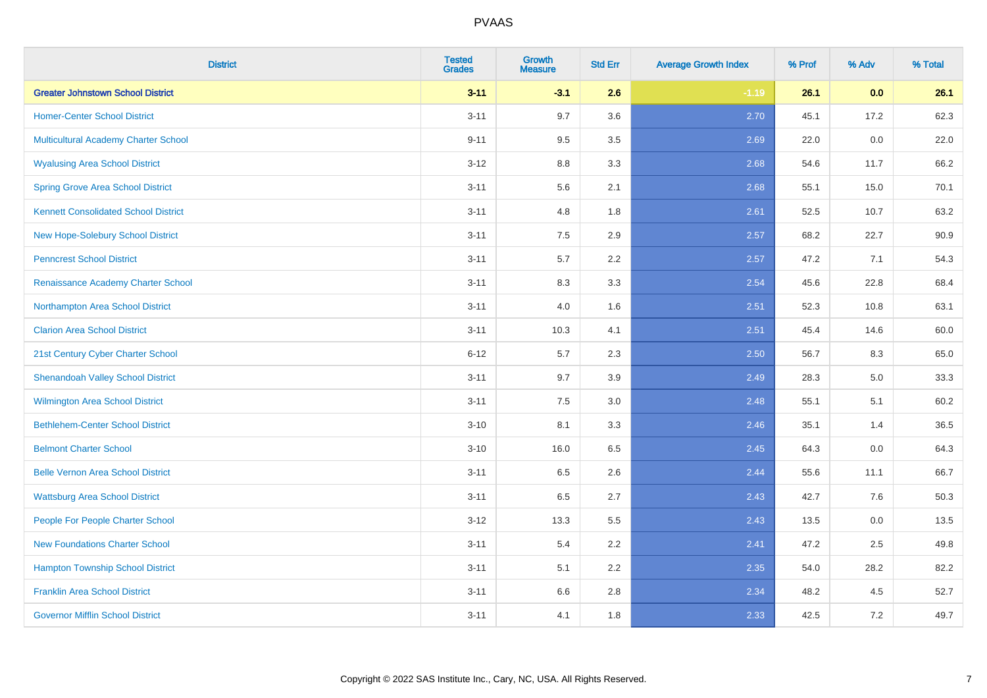| <b>District</b>                             | <b>Tested</b><br><b>Grades</b> | <b>Growth</b><br><b>Measure</b> | <b>Std Err</b> | <b>Average Growth Index</b> | % Prof | % Adv | % Total |
|---------------------------------------------|--------------------------------|---------------------------------|----------------|-----------------------------|--------|-------|---------|
| <b>Greater Johnstown School District</b>    | $3 - 11$                       | $-3.1$                          | 2.6            | $-1.19$                     | 26.1   | 0.0   | 26.1    |
| <b>Homer-Center School District</b>         | $3 - 11$                       | 9.7                             | 3.6            | 2.70                        | 45.1   | 17.2  | 62.3    |
| Multicultural Academy Charter School        | $9 - 11$                       | 9.5                             | 3.5            | 2.69                        | 22.0   | 0.0   | 22.0    |
| <b>Wyalusing Area School District</b>       | $3-12$                         | 8.8                             | 3.3            | 2.68                        | 54.6   | 11.7  | 66.2    |
| <b>Spring Grove Area School District</b>    | $3 - 11$                       | 5.6                             | 2.1            | 2.68                        | 55.1   | 15.0  | 70.1    |
| <b>Kennett Consolidated School District</b> | $3 - 11$                       | 4.8                             | 1.8            | 2.61                        | 52.5   | 10.7  | 63.2    |
| New Hope-Solebury School District           | $3 - 11$                       | 7.5                             | 2.9            | 2.57                        | 68.2   | 22.7  | 90.9    |
| <b>Penncrest School District</b>            | $3 - 11$                       | 5.7                             | 2.2            | 2.57                        | 47.2   | 7.1   | 54.3    |
| Renaissance Academy Charter School          | $3 - 11$                       | 8.3                             | 3.3            | 2.54                        | 45.6   | 22.8  | 68.4    |
| Northampton Area School District            | $3 - 11$                       | 4.0                             | 1.6            | 2.51                        | 52.3   | 10.8  | 63.1    |
| <b>Clarion Area School District</b>         | $3 - 11$                       | 10.3                            | 4.1            | 2.51                        | 45.4   | 14.6  | 60.0    |
| 21st Century Cyber Charter School           | $6 - 12$                       | 5.7                             | 2.3            | 2.50                        | 56.7   | 8.3   | 65.0    |
| <b>Shenandoah Valley School District</b>    | $3 - 11$                       | 9.7                             | 3.9            | 2.49                        | 28.3   | 5.0   | 33.3    |
| <b>Wilmington Area School District</b>      | $3 - 11$                       | $7.5\,$                         | 3.0            | 2.48                        | 55.1   | 5.1   | 60.2    |
| <b>Bethlehem-Center School District</b>     | $3 - 10$                       | 8.1                             | 3.3            | 2.46                        | 35.1   | 1.4   | 36.5    |
| <b>Belmont Charter School</b>               | $3 - 10$                       | 16.0                            | 6.5            | 2.45                        | 64.3   | 0.0   | 64.3    |
| <b>Belle Vernon Area School District</b>    | $3 - 11$                       | 6.5                             | 2.6            | 2.44                        | 55.6   | 11.1  | 66.7    |
| <b>Wattsburg Area School District</b>       | $3 - 11$                       | 6.5                             | 2.7            | 2.43                        | 42.7   | 7.6   | 50.3    |
| People For People Charter School            | $3 - 12$                       | 13.3                            | 5.5            | 2.43                        | 13.5   | 0.0   | 13.5    |
| <b>New Foundations Charter School</b>       | $3 - 11$                       | 5.4                             | 2.2            | 2.41                        | 47.2   | 2.5   | 49.8    |
| <b>Hampton Township School District</b>     | $3 - 11$                       | 5.1                             | 2.2            | 2.35                        | 54.0   | 28.2  | 82.2    |
| <b>Franklin Area School District</b>        | $3 - 11$                       | 6.6                             | 2.8            | 2.34                        | 48.2   | 4.5   | 52.7    |
| <b>Governor Mifflin School District</b>     | $3 - 11$                       | 4.1                             | 1.8            | 2.33                        | 42.5   | 7.2   | 49.7    |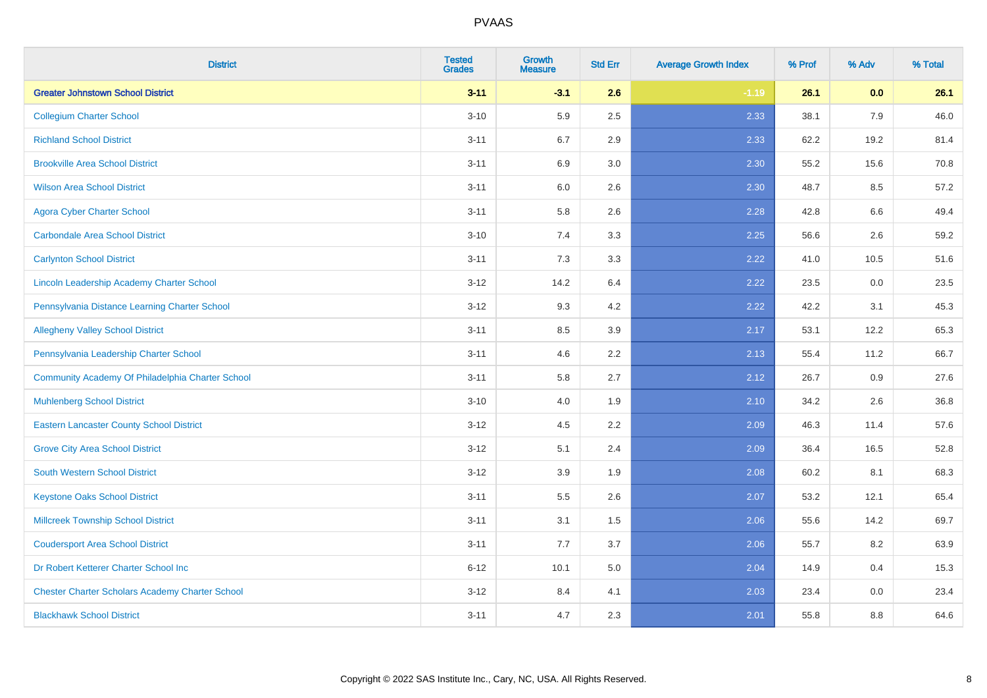| <b>District</b>                                        | <b>Tested</b><br><b>Grades</b> | <b>Growth</b><br><b>Measure</b> | <b>Std Err</b> | <b>Average Growth Index</b> | % Prof | % Adv   | % Total |
|--------------------------------------------------------|--------------------------------|---------------------------------|----------------|-----------------------------|--------|---------|---------|
| <b>Greater Johnstown School District</b>               | $3 - 11$                       | $-3.1$                          | 2.6            | $-1.19$                     | 26.1   | 0.0     | 26.1    |
| <b>Collegium Charter School</b>                        | $3 - 10$                       | 5.9                             | 2.5            | 2.33                        | 38.1   | 7.9     | 46.0    |
| <b>Richland School District</b>                        | $3 - 11$                       | 6.7                             | 2.9            | 2.33                        | 62.2   | 19.2    | 81.4    |
| <b>Brookville Area School District</b>                 | $3 - 11$                       | 6.9                             | $3.0\,$        | 2.30                        | 55.2   | 15.6    | 70.8    |
| <b>Wilson Area School District</b>                     | $3 - 11$                       | 6.0                             | 2.6            | 2.30                        | 48.7   | 8.5     | 57.2    |
| <b>Agora Cyber Charter School</b>                      | $3 - 11$                       | 5.8                             | 2.6            | 2.28                        | 42.8   | 6.6     | 49.4    |
| <b>Carbondale Area School District</b>                 | $3 - 10$                       | 7.4                             | 3.3            | 2.25                        | 56.6   | 2.6     | 59.2    |
| <b>Carlynton School District</b>                       | $3 - 11$                       | 7.3                             | 3.3            | 2.22                        | 41.0   | 10.5    | 51.6    |
| Lincoln Leadership Academy Charter School              | $3 - 12$                       | 14.2                            | 6.4            | 2.22                        | 23.5   | $0.0\,$ | 23.5    |
| Pennsylvania Distance Learning Charter School          | $3 - 12$                       | 9.3                             | 4.2            | 2.22                        | 42.2   | 3.1     | 45.3    |
| <b>Allegheny Valley School District</b>                | $3 - 11$                       | 8.5                             | 3.9            | 2.17                        | 53.1   | 12.2    | 65.3    |
| Pennsylvania Leadership Charter School                 | $3 - 11$                       | 4.6                             | 2.2            | 2.13                        | 55.4   | 11.2    | 66.7    |
| Community Academy Of Philadelphia Charter School       | $3 - 11$                       | 5.8                             | 2.7            | 2.12                        | 26.7   | 0.9     | 27.6    |
| <b>Muhlenberg School District</b>                      | $3 - 10$                       | 4.0                             | 1.9            | 2.10                        | 34.2   | 2.6     | 36.8    |
| <b>Eastern Lancaster County School District</b>        | $3 - 12$                       | 4.5                             | 2.2            | 2.09                        | 46.3   | 11.4    | 57.6    |
| <b>Grove City Area School District</b>                 | $3 - 12$                       | 5.1                             | 2.4            | 2.09                        | 36.4   | 16.5    | 52.8    |
| <b>South Western School District</b>                   | $3 - 12$                       | 3.9                             | 1.9            | 2.08                        | 60.2   | 8.1     | 68.3    |
| <b>Keystone Oaks School District</b>                   | $3 - 11$                       | 5.5                             | 2.6            | 2.07                        | 53.2   | 12.1    | 65.4    |
| <b>Millcreek Township School District</b>              | $3 - 11$                       | 3.1                             | 1.5            | 2.06                        | 55.6   | 14.2    | 69.7    |
| <b>Coudersport Area School District</b>                | $3 - 11$                       | 7.7                             | 3.7            | 2.06                        | 55.7   | 8.2     | 63.9    |
| Dr Robert Ketterer Charter School Inc                  | $6 - 12$                       | 10.1                            | 5.0            | 2.04                        | 14.9   | 0.4     | 15.3    |
| <b>Chester Charter Scholars Academy Charter School</b> | $3 - 12$                       | 8.4                             | 4.1            | 2.03                        | 23.4   | 0.0     | 23.4    |
| <b>Blackhawk School District</b>                       | $3 - 11$                       | 4.7                             | 2.3            | 2.01                        | 55.8   | 8.8     | 64.6    |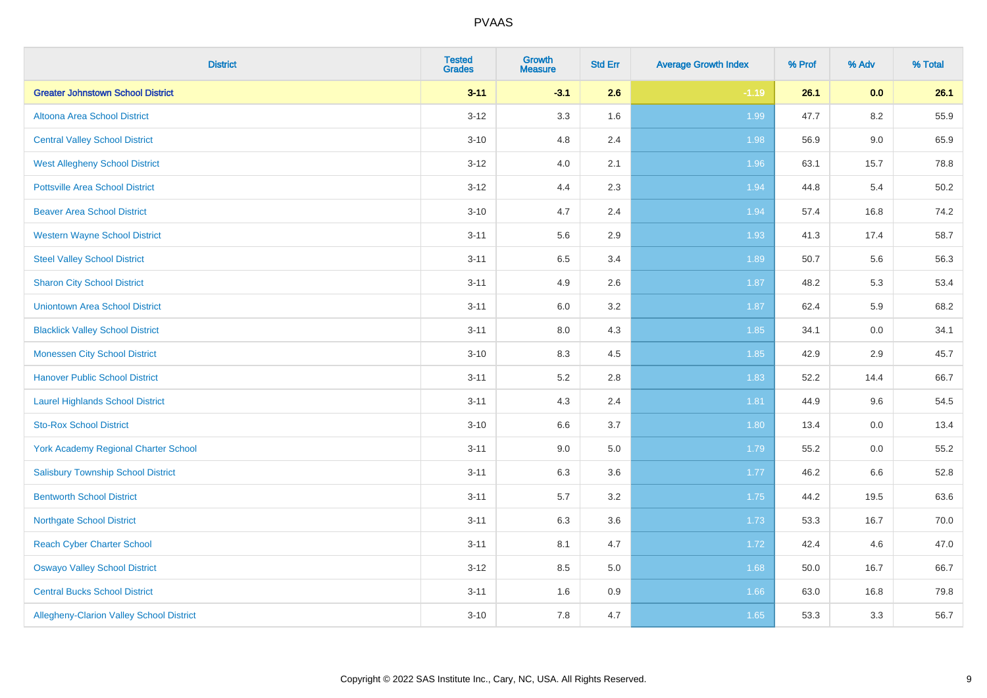| <b>District</b>                                 | <b>Tested</b><br><b>Grades</b> | <b>Growth</b><br><b>Measure</b> | <b>Std Err</b> | <b>Average Growth Index</b> | % Prof | % Adv   | % Total |
|-------------------------------------------------|--------------------------------|---------------------------------|----------------|-----------------------------|--------|---------|---------|
| <b>Greater Johnstown School District</b>        | $3 - 11$                       | $-3.1$                          | 2.6            | $-1.19$                     | 26.1   | 0.0     | 26.1    |
| Altoona Area School District                    | $3 - 12$                       | 3.3                             | 1.6            | 1.99                        | 47.7   | 8.2     | 55.9    |
| <b>Central Valley School District</b>           | $3 - 10$                       | 4.8                             | 2.4            | 1.98                        | 56.9   | $9.0\,$ | 65.9    |
| <b>West Allegheny School District</b>           | $3 - 12$                       | 4.0                             | 2.1            | 1.96                        | 63.1   | 15.7    | 78.8    |
| <b>Pottsville Area School District</b>          | $3 - 12$                       | 4.4                             | 2.3            | 1.94                        | 44.8   | 5.4     | 50.2    |
| <b>Beaver Area School District</b>              | $3 - 10$                       | 4.7                             | 2.4            | 1.94                        | 57.4   | 16.8    | 74.2    |
| <b>Western Wayne School District</b>            | $3 - 11$                       | 5.6                             | 2.9            | 1.93                        | 41.3   | 17.4    | 58.7    |
| <b>Steel Valley School District</b>             | $3 - 11$                       | 6.5                             | 3.4            | 1.89                        | 50.7   | 5.6     | 56.3    |
| <b>Sharon City School District</b>              | $3 - 11$                       | 4.9                             | 2.6            | 1.87                        | 48.2   | 5.3     | 53.4    |
| <b>Uniontown Area School District</b>           | $3 - 11$                       | 6.0                             | 3.2            | 1.87                        | 62.4   | 5.9     | 68.2    |
| <b>Blacklick Valley School District</b>         | $3 - 11$                       | 8.0                             | 4.3            | 1.85                        | 34.1   | 0.0     | 34.1    |
| <b>Monessen City School District</b>            | $3 - 10$                       | 8.3                             | 4.5            | 1.85                        | 42.9   | 2.9     | 45.7    |
| <b>Hanover Public School District</b>           | $3 - 11$                       | 5.2                             | 2.8            | 1.83                        | 52.2   | 14.4    | 66.7    |
| <b>Laurel Highlands School District</b>         | $3 - 11$                       | 4.3                             | 2.4            | 1.81                        | 44.9   | 9.6     | 54.5    |
| <b>Sto-Rox School District</b>                  | $3 - 10$                       | 6.6                             | 3.7            | 1.80                        | 13.4   | $0.0\,$ | 13.4    |
| <b>York Academy Regional Charter School</b>     | $3 - 11$                       | 9.0                             | 5.0            | 1.79                        | 55.2   | 0.0     | 55.2    |
| <b>Salisbury Township School District</b>       | $3 - 11$                       | 6.3                             | 3.6            | 1.77                        | 46.2   | 6.6     | 52.8    |
| <b>Bentworth School District</b>                | $3 - 11$                       | 5.7                             | 3.2            | 1.75                        | 44.2   | 19.5    | 63.6    |
| <b>Northgate School District</b>                | $3 - 11$                       | 6.3                             | 3.6            | 1.73                        | 53.3   | 16.7    | 70.0    |
| <b>Reach Cyber Charter School</b>               | $3 - 11$                       | 8.1                             | 4.7            | 1.72                        | 42.4   | 4.6     | 47.0    |
| <b>Oswayo Valley School District</b>            | $3 - 12$                       | 8.5                             | 5.0            | 1.68                        | 50.0   | 16.7    | 66.7    |
| <b>Central Bucks School District</b>            | $3 - 11$                       | 1.6                             | 0.9            | 1.66                        | 63.0   | 16.8    | 79.8    |
| <b>Allegheny-Clarion Valley School District</b> | $3 - 10$                       | 7.8                             | 4.7            | 1.65                        | 53.3   | 3.3     | 56.7    |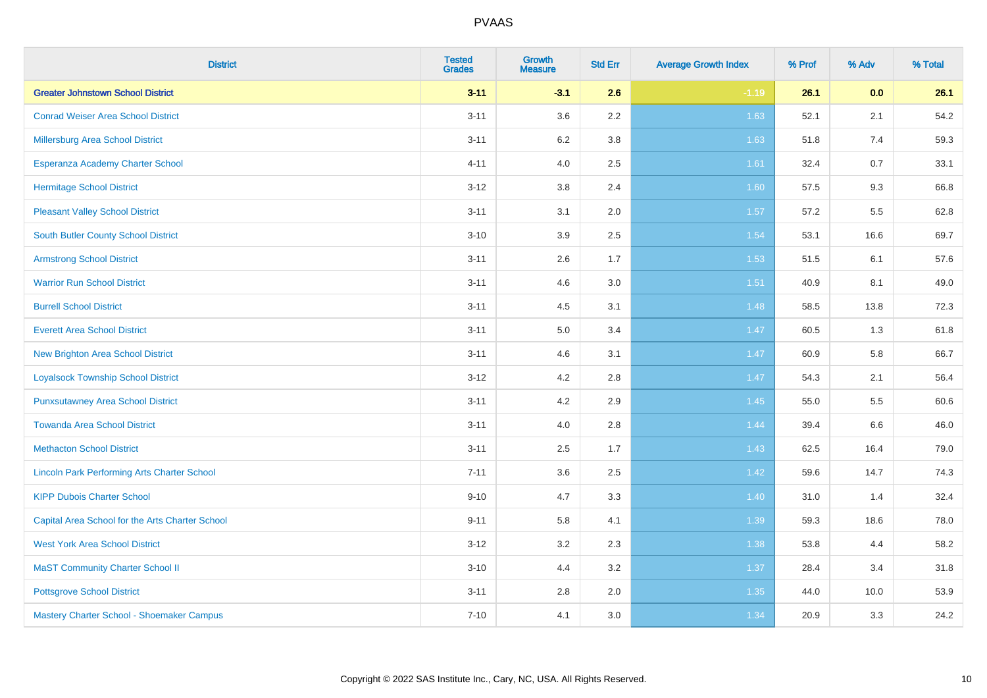| <b>District</b>                                    | <b>Tested</b><br><b>Grades</b> | <b>Growth</b><br><b>Measure</b> | <b>Std Err</b> | <b>Average Growth Index</b> | % Prof | % Adv | % Total |
|----------------------------------------------------|--------------------------------|---------------------------------|----------------|-----------------------------|--------|-------|---------|
| <b>Greater Johnstown School District</b>           | $3 - 11$                       | $-3.1$                          | 2.6            | $-1.19$                     | 26.1   | 0.0   | 26.1    |
| <b>Conrad Weiser Area School District</b>          | $3 - 11$                       | 3.6                             | 2.2            | 1.63                        | 52.1   | 2.1   | 54.2    |
| Millersburg Area School District                   | $3 - 11$                       | 6.2                             | 3.8            | 1.63                        | 51.8   | 7.4   | 59.3    |
| Esperanza Academy Charter School                   | $4 - 11$                       | 4.0                             | 2.5            | 1.61                        | 32.4   | 0.7   | 33.1    |
| <b>Hermitage School District</b>                   | $3 - 12$                       | 3.8                             | 2.4            | 1.60                        | 57.5   | 9.3   | 66.8    |
| <b>Pleasant Valley School District</b>             | $3 - 11$                       | 3.1                             | 2.0            | 1.57                        | 57.2   | 5.5   | 62.8    |
| <b>South Butler County School District</b>         | $3 - 10$                       | 3.9                             | 2.5            | 1.54                        | 53.1   | 16.6  | 69.7    |
| <b>Armstrong School District</b>                   | $3 - 11$                       | 2.6                             | 1.7            | 1.53                        | 51.5   | 6.1   | 57.6    |
| <b>Warrior Run School District</b>                 | $3 - 11$                       | 4.6                             | 3.0            | 1.51                        | 40.9   | 8.1   | 49.0    |
| <b>Burrell School District</b>                     | $3 - 11$                       | 4.5                             | 3.1            | 1.48                        | 58.5   | 13.8  | 72.3    |
| <b>Everett Area School District</b>                | $3 - 11$                       | 5.0                             | 3.4            | 1.47                        | 60.5   | 1.3   | 61.8    |
| <b>New Brighton Area School District</b>           | $3 - 11$                       | 4.6                             | 3.1            | 1.47                        | 60.9   | 5.8   | 66.7    |
| <b>Loyalsock Township School District</b>          | $3 - 12$                       | 4.2                             | 2.8            | 1.47                        | 54.3   | 2.1   | 56.4    |
| <b>Punxsutawney Area School District</b>           | $3 - 11$                       | 4.2                             | 2.9            | 1.45                        | 55.0   | 5.5   | 60.6    |
| <b>Towanda Area School District</b>                | $3 - 11$                       | 4.0                             | 2.8            | 1.44                        | 39.4   | 6.6   | 46.0    |
| <b>Methacton School District</b>                   | $3 - 11$                       | 2.5                             | 1.7            | 1.43                        | 62.5   | 16.4  | 79.0    |
| <b>Lincoln Park Performing Arts Charter School</b> | $7 - 11$                       | 3.6                             | 2.5            | 1.42                        | 59.6   | 14.7  | 74.3    |
| <b>KIPP Dubois Charter School</b>                  | $9 - 10$                       | 4.7                             | 3.3            | 1.40                        | 31.0   | 1.4   | 32.4    |
| Capital Area School for the Arts Charter School    | $9 - 11$                       | 5.8                             | 4.1            | 1.39                        | 59.3   | 18.6  | 78.0    |
| <b>West York Area School District</b>              | $3-12$                         | 3.2                             | 2.3            | 1.38                        | 53.8   | 4.4   | 58.2    |
| <b>MaST Community Charter School II</b>            | $3 - 10$                       | 4.4                             | 3.2            | 1.37                        | 28.4   | 3.4   | 31.8    |
| <b>Pottsgrove School District</b>                  | $3 - 11$                       | 2.8                             | 2.0            | 1.35                        | 44.0   | 10.0  | 53.9    |
| Mastery Charter School - Shoemaker Campus          | $7 - 10$                       | 4.1                             | 3.0            | 1.34                        | 20.9   | 3.3   | 24.2    |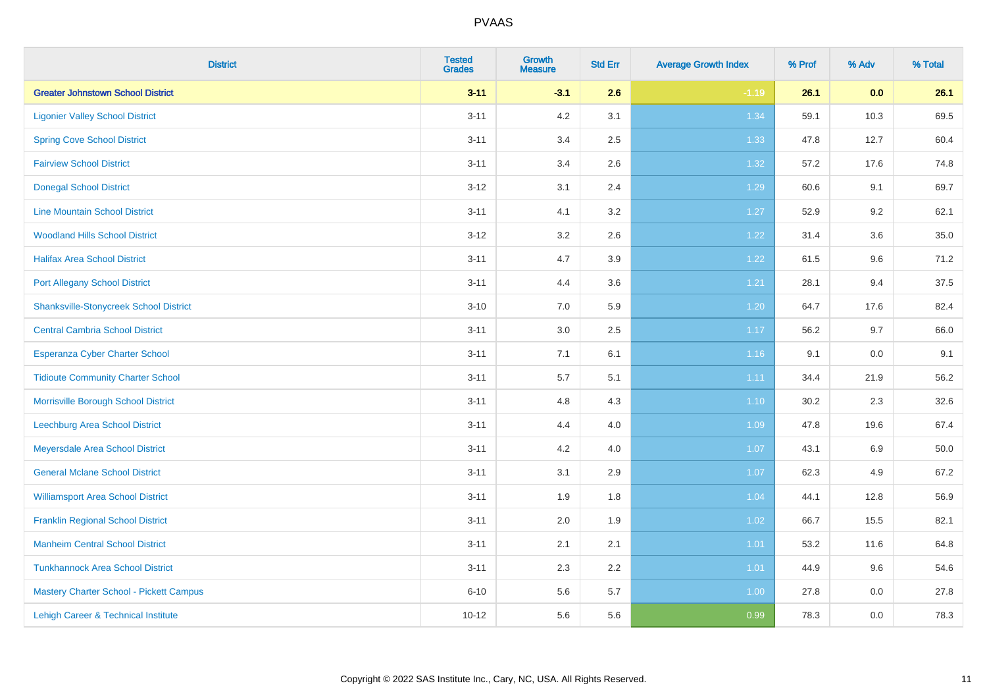| <b>District</b>                               | <b>Tested</b><br><b>Grades</b> | <b>Growth</b><br><b>Measure</b> | <b>Std Err</b> | <b>Average Growth Index</b> | % Prof | % Adv | % Total |
|-----------------------------------------------|--------------------------------|---------------------------------|----------------|-----------------------------|--------|-------|---------|
| <b>Greater Johnstown School District</b>      | $3 - 11$                       | $-3.1$                          | 2.6            | $-1.19$                     | 26.1   | 0.0   | 26.1    |
| <b>Ligonier Valley School District</b>        | $3 - 11$                       | 4.2                             | 3.1            | 1.34                        | 59.1   | 10.3  | 69.5    |
| <b>Spring Cove School District</b>            | $3 - 11$                       | 3.4                             | 2.5            | 1.33                        | 47.8   | 12.7  | 60.4    |
| <b>Fairview School District</b>               | $3 - 11$                       | 3.4                             | 2.6            | 1.32                        | 57.2   | 17.6  | 74.8    |
| <b>Donegal School District</b>                | $3 - 12$                       | 3.1                             | 2.4            | 1.29                        | 60.6   | 9.1   | 69.7    |
| <b>Line Mountain School District</b>          | $3 - 11$                       | 4.1                             | 3.2            | 1.27                        | 52.9   | 9.2   | 62.1    |
| <b>Woodland Hills School District</b>         | $3 - 12$                       | 3.2                             | 2.6            | 1.22                        | 31.4   | 3.6   | 35.0    |
| <b>Halifax Area School District</b>           | $3 - 11$                       | 4.7                             | 3.9            | 1.22                        | 61.5   | 9.6   | 71.2    |
| <b>Port Allegany School District</b>          | $3 - 11$                       | 4.4                             | 3.6            | 1.21                        | 28.1   | 9.4   | 37.5    |
| <b>Shanksville-Stonycreek School District</b> | $3 - 10$                       | 7.0                             | 5.9            | 1.20                        | 64.7   | 17.6  | 82.4    |
| <b>Central Cambria School District</b>        | $3 - 11$                       | 3.0                             | 2.5            | 1.17                        | 56.2   | 9.7   | 66.0    |
| Esperanza Cyber Charter School                | $3 - 11$                       | 7.1                             | 6.1            | 1.16                        | 9.1    | 0.0   | 9.1     |
| <b>Tidioute Community Charter School</b>      | $3 - 11$                       | 5.7                             | 5.1            | 1.11                        | 34.4   | 21.9  | 56.2    |
| Morrisville Borough School District           | $3 - 11$                       | 4.8                             | 4.3            | 1.10                        | 30.2   | 2.3   | 32.6    |
| <b>Leechburg Area School District</b>         | $3 - 11$                       | 4.4                             | 4.0            | 1.09                        | 47.8   | 19.6  | 67.4    |
| Meyersdale Area School District               | $3 - 11$                       | 4.2                             | 4.0            | 1.07                        | 43.1   | 6.9   | 50.0    |
| <b>General Mclane School District</b>         | $3 - 11$                       | 3.1                             | 2.9            | 1.07                        | 62.3   | 4.9   | 67.2    |
| <b>Williamsport Area School District</b>      | $3 - 11$                       | 1.9                             | 1.8            | 1.04                        | 44.1   | 12.8  | 56.9    |
| <b>Franklin Regional School District</b>      | $3 - 11$                       | 2.0                             | 1.9            | 1.02                        | 66.7   | 15.5  | 82.1    |
| <b>Manheim Central School District</b>        | $3 - 11$                       | 2.1                             | 2.1            | 1.01                        | 53.2   | 11.6  | 64.8    |
| <b>Tunkhannock Area School District</b>       | $3 - 11$                       | 2.3                             | 2.2            | 1.01                        | 44.9   | 9.6   | 54.6    |
| Mastery Charter School - Pickett Campus       | $6 - 10$                       | 5.6                             | 5.7            | 1.00                        | 27.8   | 0.0   | 27.8    |
| Lehigh Career & Technical Institute           | $10 - 12$                      | 5.6                             | 5.6            | 0.99                        | 78.3   | 0.0   | 78.3    |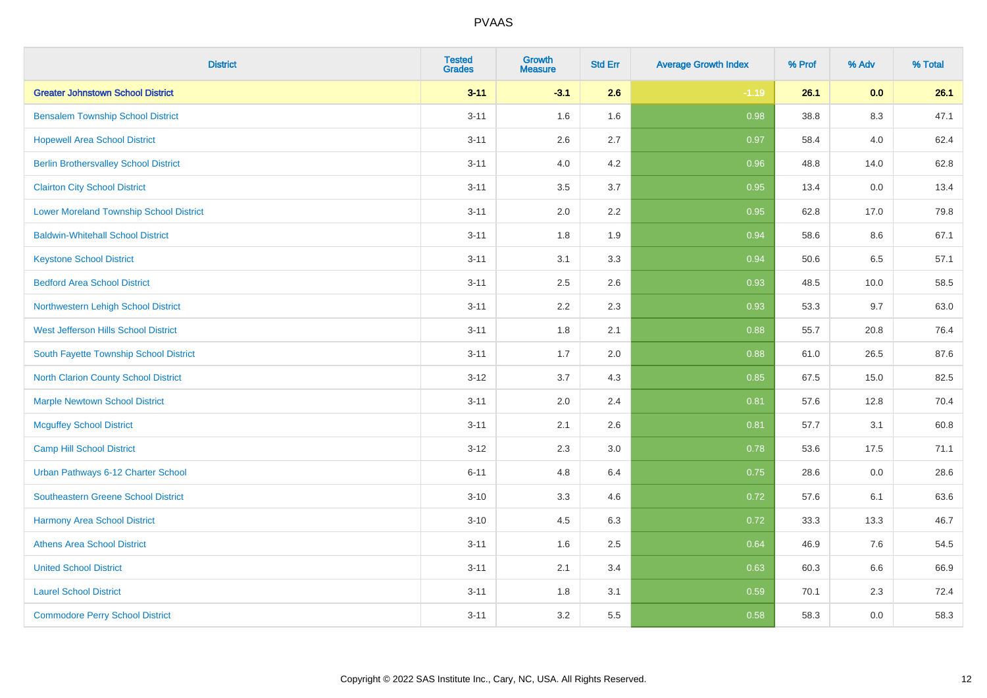| <b>District</b>                                | <b>Tested</b><br><b>Grades</b> | <b>Growth</b><br><b>Measure</b> | <b>Std Err</b> | <b>Average Growth Index</b> | % Prof | % Adv | % Total |
|------------------------------------------------|--------------------------------|---------------------------------|----------------|-----------------------------|--------|-------|---------|
| <b>Greater Johnstown School District</b>       | $3 - 11$                       | $-3.1$                          | 2.6            | $-1.19$                     | 26.1   | 0.0   | 26.1    |
| <b>Bensalem Township School District</b>       | $3 - 11$                       | 1.6                             | 1.6            | 0.98                        | 38.8   | 8.3   | 47.1    |
| <b>Hopewell Area School District</b>           | $3 - 11$                       | 2.6                             | 2.7            | 0.97                        | 58.4   | 4.0   | 62.4    |
| <b>Berlin Brothersvalley School District</b>   | $3 - 11$                       | 4.0                             | 4.2            | 0.96                        | 48.8   | 14.0  | 62.8    |
| <b>Clairton City School District</b>           | $3 - 11$                       | 3.5                             | 3.7            | 0.95                        | 13.4   | 0.0   | 13.4    |
| <b>Lower Moreland Township School District</b> | $3 - 11$                       | 2.0                             | 2.2            | 0.95                        | 62.8   | 17.0  | 79.8    |
| <b>Baldwin-Whitehall School District</b>       | $3 - 11$                       | 1.8                             | 1.9            | 0.94                        | 58.6   | 8.6   | 67.1    |
| <b>Keystone School District</b>                | $3 - 11$                       | 3.1                             | 3.3            | 0.94                        | 50.6   | 6.5   | 57.1    |
| <b>Bedford Area School District</b>            | $3 - 11$                       | 2.5                             | 2.6            | 0.93                        | 48.5   | 10.0  | 58.5    |
| Northwestern Lehigh School District            | $3 - 11$                       | 2.2                             | 2.3            | 0.93                        | 53.3   | 9.7   | 63.0    |
| West Jefferson Hills School District           | $3 - 11$                       | 1.8                             | 2.1            | 0.88                        | 55.7   | 20.8  | 76.4    |
| South Fayette Township School District         | $3 - 11$                       | 1.7                             | 2.0            | 0.88                        | 61.0   | 26.5  | 87.6    |
| <b>North Clarion County School District</b>    | $3 - 12$                       | 3.7                             | 4.3            | 0.85                        | 67.5   | 15.0  | 82.5    |
| <b>Marple Newtown School District</b>          | $3 - 11$                       | 2.0                             | 2.4            | 0.81                        | 57.6   | 12.8  | 70.4    |
| <b>Mcguffey School District</b>                | $3 - 11$                       | 2.1                             | 2.6            | 0.81                        | 57.7   | 3.1   | 60.8    |
| <b>Camp Hill School District</b>               | $3 - 12$                       | 2.3                             | 3.0            | 0.78                        | 53.6   | 17.5  | 71.1    |
| Urban Pathways 6-12 Charter School             | $6 - 11$                       | 4.8                             | 6.4            | 0.75                        | 28.6   | 0.0   | 28.6    |
| Southeastern Greene School District            | $3 - 10$                       | 3.3                             | 4.6            | $\overline{0.72}$           | 57.6   | 6.1   | 63.6    |
| <b>Harmony Area School District</b>            | $3 - 10$                       | 4.5                             | 6.3            | 0.72                        | 33.3   | 13.3  | 46.7    |
| <b>Athens Area School District</b>             | $3 - 11$                       | 1.6                             | 2.5            | 0.64                        | 46.9   | 7.6   | 54.5    |
| <b>United School District</b>                  | $3 - 11$                       | 2.1                             | 3.4            | 0.63                        | 60.3   | 6.6   | 66.9    |
| <b>Laurel School District</b>                  | $3 - 11$                       | 1.8                             | 3.1            | 0.59                        | 70.1   | 2.3   | 72.4    |
| <b>Commodore Perry School District</b>         | $3 - 11$                       | 3.2                             | 5.5            | 0.58                        | 58.3   | 0.0   | 58.3    |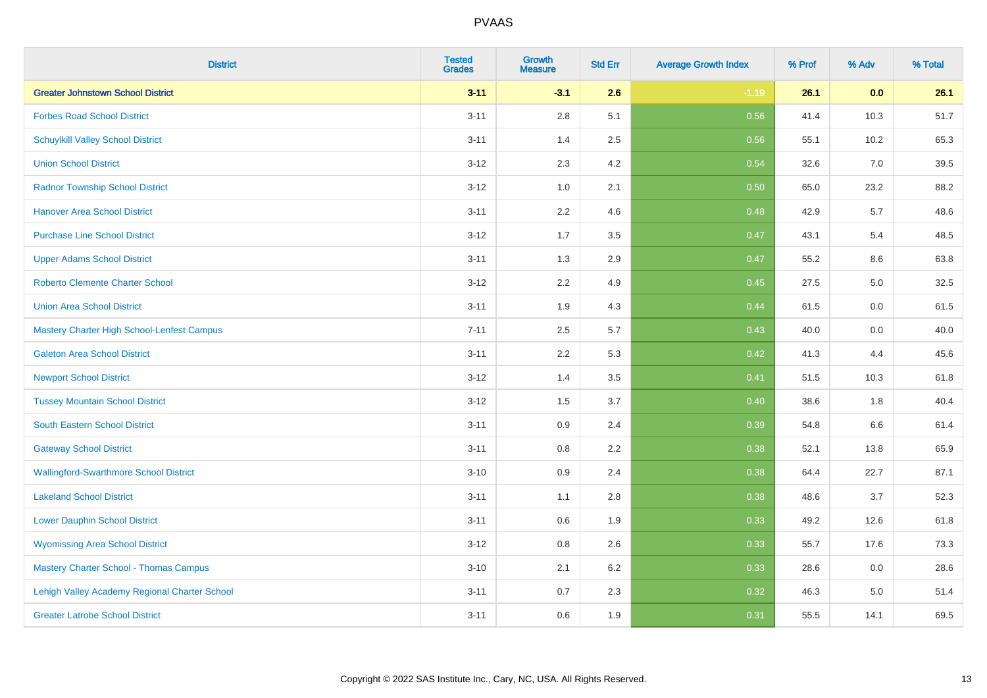| <b>District</b>                               | <b>Tested</b><br><b>Grades</b> | <b>Growth</b><br><b>Measure</b> | <b>Std Err</b> | <b>Average Growth Index</b> | % Prof | % Adv | % Total |
|-----------------------------------------------|--------------------------------|---------------------------------|----------------|-----------------------------|--------|-------|---------|
| <b>Greater Johnstown School District</b>      | $3 - 11$                       | $-3.1$                          | 2.6            | $-1.19$                     | 26.1   | 0.0   | 26.1    |
| <b>Forbes Road School District</b>            | $3 - 11$                       | 2.8                             | 5.1            | 0.56                        | 41.4   | 10.3  | 51.7    |
| <b>Schuylkill Valley School District</b>      | $3 - 11$                       | 1.4                             | 2.5            | 0.56                        | 55.1   | 10.2  | 65.3    |
| <b>Union School District</b>                  | $3-12$                         | 2.3                             | 4.2            | 0.54                        | 32.6   | 7.0   | 39.5    |
| <b>Radnor Township School District</b>        | $3 - 12$                       | 1.0                             | 2.1            | 0.50                        | 65.0   | 23.2  | 88.2    |
| <b>Hanover Area School District</b>           | $3 - 11$                       | 2.2                             | 4.6            | 0.48                        | 42.9   | 5.7   | 48.6    |
| <b>Purchase Line School District</b>          | $3 - 12$                       | 1.7                             | 3.5            | 0.47                        | 43.1   | 5.4   | 48.5    |
| <b>Upper Adams School District</b>            | $3 - 11$                       | 1.3                             | 2.9            | 0.47                        | 55.2   | 8.6   | 63.8    |
| <b>Roberto Clemente Charter School</b>        | $3-12$                         | 2.2                             | 4.9            | 0.45                        | 27.5   | 5.0   | 32.5    |
| <b>Union Area School District</b>             | $3 - 11$                       | 1.9                             | 4.3            | 0.44                        | 61.5   | 0.0   | 61.5    |
| Mastery Charter High School-Lenfest Campus    | $7 - 11$                       | 2.5                             | 5.7            | $\boxed{0.43}$              | 40.0   | 0.0   | 40.0    |
| <b>Galeton Area School District</b>           | $3 - 11$                       | 2.2                             | 5.3            | 0.42                        | 41.3   | 4.4   | 45.6    |
| <b>Newport School District</b>                | $3 - 12$                       | 1.4                             | 3.5            | 0.41                        | 51.5   | 10.3  | 61.8    |
| <b>Tussey Mountain School District</b>        | $3 - 12$                       | 1.5                             | 3.7            | 0.40                        | 38.6   | 1.8   | 40.4    |
| <b>South Eastern School District</b>          | $3 - 11$                       | 0.9                             | 2.4            | 0.39                        | 54.8   | 6.6   | 61.4    |
| <b>Gateway School District</b>                | $3 - 11$                       | 0.8                             | 2.2            | 0.38                        | 52.1   | 13.8  | 65.9    |
| <b>Wallingford-Swarthmore School District</b> | $3 - 10$                       | 0.9                             | 2.4            | 0.38                        | 64.4   | 22.7  | 87.1    |
| <b>Lakeland School District</b>               | $3 - 11$                       | 1.1                             | 2.8            | 0.38                        | 48.6   | 3.7   | 52.3    |
| <b>Lower Dauphin School District</b>          | $3 - 11$                       | 0.6                             | 1.9            | 0.33                        | 49.2   | 12.6  | 61.8    |
| <b>Wyomissing Area School District</b>        | $3 - 12$                       | $0.8\,$                         | 2.6            | 0.33                        | 55.7   | 17.6  | 73.3    |
| <b>Mastery Charter School - Thomas Campus</b> | $3 - 10$                       | 2.1                             | 6.2            | 0.33                        | 28.6   | 0.0   | 28.6    |
| Lehigh Valley Academy Regional Charter School | $3 - 11$                       | 0.7                             | 2.3            | 0.32                        | 46.3   | 5.0   | 51.4    |
| <b>Greater Latrobe School District</b>        | $3 - 11$                       | 0.6                             | 1.9            | 0.31                        | 55.5   | 14.1  | 69.5    |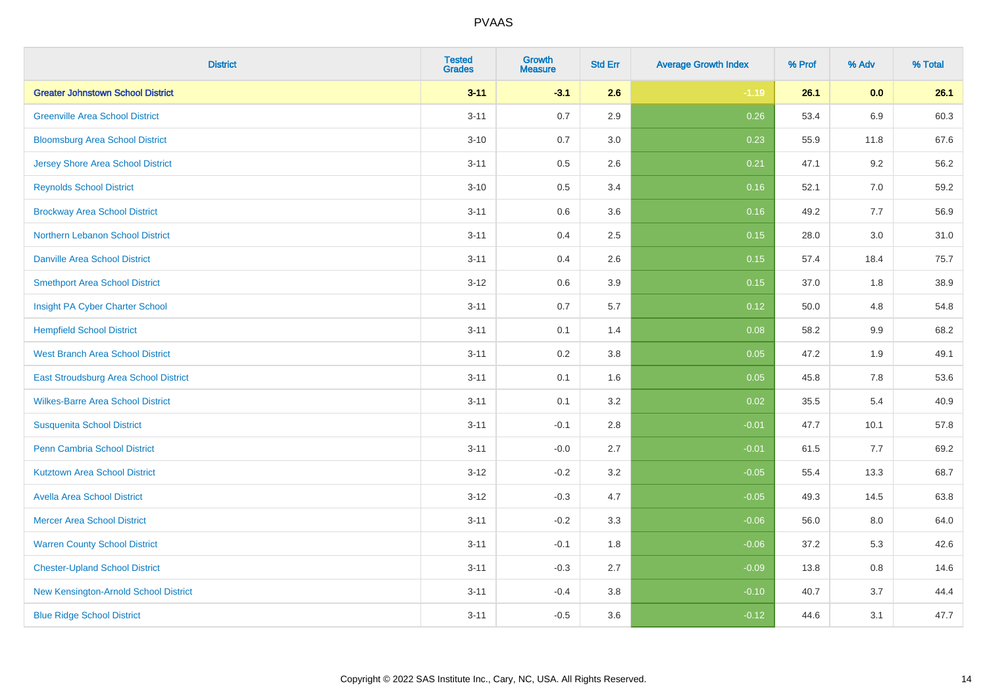| <b>District</b>                          | <b>Tested</b><br><b>Grades</b> | Growth<br><b>Measure</b> | <b>Std Err</b> | <b>Average Growth Index</b> | % Prof | % Adv   | % Total |
|------------------------------------------|--------------------------------|--------------------------|----------------|-----------------------------|--------|---------|---------|
| <b>Greater Johnstown School District</b> | $3 - 11$                       | $-3.1$                   | 2.6            | $-1.19$                     | 26.1   | 0.0     | 26.1    |
| <b>Greenville Area School District</b>   | $3 - 11$                       | 0.7                      | 2.9            | 0.26                        | 53.4   | 6.9     | 60.3    |
| <b>Bloomsburg Area School District</b>   | $3 - 10$                       | 0.7                      | 3.0            | 0.23                        | 55.9   | 11.8    | 67.6    |
| <b>Jersey Shore Area School District</b> | $3 - 11$                       | 0.5                      | 2.6            | 0.21                        | 47.1   | 9.2     | 56.2    |
| <b>Reynolds School District</b>          | $3 - 10$                       | 0.5                      | 3.4            | 0.16                        | 52.1   | 7.0     | 59.2    |
| <b>Brockway Area School District</b>     | $3 - 11$                       | 0.6                      | 3.6            | 0.16                        | 49.2   | 7.7     | 56.9    |
| Northern Lebanon School District         | $3 - 11$                       | 0.4                      | 2.5            | 0.15                        | 28.0   | 3.0     | 31.0    |
| <b>Danville Area School District</b>     | $3 - 11$                       | 0.4                      | 2.6            | 0.15                        | 57.4   | 18.4    | 75.7    |
| <b>Smethport Area School District</b>    | $3 - 12$                       | 0.6                      | 3.9            | 0.15                        | 37.0   | 1.8     | 38.9    |
| Insight PA Cyber Charter School          | $3 - 11$                       | 0.7                      | 5.7            | 0.12                        | 50.0   | 4.8     | 54.8    |
| <b>Hempfield School District</b>         | $3 - 11$                       | 0.1                      | 1.4            | 0.08                        | 58.2   | 9.9     | 68.2    |
| <b>West Branch Area School District</b>  | $3 - 11$                       | 0.2                      | 3.8            | 0.05                        | 47.2   | 1.9     | 49.1    |
| East Stroudsburg Area School District    | $3 - 11$                       | 0.1                      | 1.6            | 0.05                        | 45.8   | $7.8\,$ | 53.6    |
| <b>Wilkes-Barre Area School District</b> | $3 - 11$                       | 0.1                      | 3.2            | 0.02                        | 35.5   | 5.4     | 40.9    |
| <b>Susquenita School District</b>        | $3 - 11$                       | $-0.1$                   | 2.8            | $-0.01$                     | 47.7   | 10.1    | 57.8    |
| <b>Penn Cambria School District</b>      | $3 - 11$                       | $-0.0$                   | 2.7            | $-0.01$                     | 61.5   | 7.7     | 69.2    |
| <b>Kutztown Area School District</b>     | $3 - 12$                       | $-0.2$                   | 3.2            | $-0.05$                     | 55.4   | 13.3    | 68.7    |
| <b>Avella Area School District</b>       | $3 - 12$                       | $-0.3$                   | 4.7            | $-0.05$                     | 49.3   | 14.5    | 63.8    |
| <b>Mercer Area School District</b>       | $3 - 11$                       | $-0.2$                   | 3.3            | $-0.06$                     | 56.0   | 8.0     | 64.0    |
| <b>Warren County School District</b>     | $3 - 11$                       | $-0.1$                   | 1.8            | $-0.06$                     | 37.2   | 5.3     | 42.6    |
| <b>Chester-Upland School District</b>    | $3 - 11$                       | $-0.3$                   | 2.7            | $-0.09$                     | 13.8   | 0.8     | 14.6    |
| New Kensington-Arnold School District    | $3 - 11$                       | $-0.4$                   | 3.8            | $-0.10$                     | 40.7   | 3.7     | 44.4    |
| <b>Blue Ridge School District</b>        | $3 - 11$                       | $-0.5$                   | 3.6            | $-0.12$                     | 44.6   | 3.1     | 47.7    |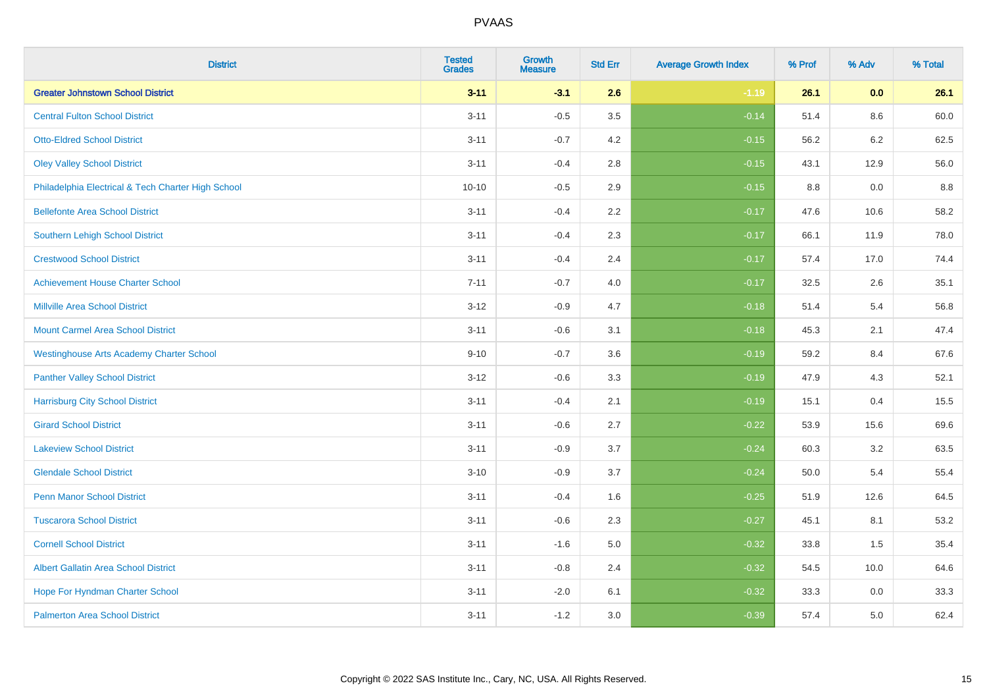| <b>District</b>                                    | <b>Tested</b><br><b>Grades</b> | <b>Growth</b><br><b>Measure</b> | <b>Std Err</b> | <b>Average Growth Index</b> | % Prof | % Adv | % Total |
|----------------------------------------------------|--------------------------------|---------------------------------|----------------|-----------------------------|--------|-------|---------|
| <b>Greater Johnstown School District</b>           | $3 - 11$                       | $-3.1$                          | 2.6            | $-1.19$                     | 26.1   | 0.0   | 26.1    |
| <b>Central Fulton School District</b>              | $3 - 11$                       | $-0.5$                          | 3.5            | $-0.14$                     | 51.4   | 8.6   | 60.0    |
| <b>Otto-Eldred School District</b>                 | $3 - 11$                       | $-0.7$                          | 4.2            | $-0.15$                     | 56.2   | 6.2   | 62.5    |
| <b>Oley Valley School District</b>                 | $3 - 11$                       | $-0.4$                          | 2.8            | $-0.15$                     | 43.1   | 12.9  | 56.0    |
| Philadelphia Electrical & Tech Charter High School | $10 - 10$                      | $-0.5$                          | 2.9            | $-0.15$                     | 8.8    | 0.0   | 8.8     |
| <b>Bellefonte Area School District</b>             | $3 - 11$                       | $-0.4$                          | 2.2            | $-0.17$                     | 47.6   | 10.6  | 58.2    |
| Southern Lehigh School District                    | $3 - 11$                       | $-0.4$                          | 2.3            | $-0.17$                     | 66.1   | 11.9  | 78.0    |
| <b>Crestwood School District</b>                   | $3 - 11$                       | $-0.4$                          | 2.4            | $-0.17$                     | 57.4   | 17.0  | 74.4    |
| <b>Achievement House Charter School</b>            | $7 - 11$                       | $-0.7$                          | 4.0            | $-0.17$                     | 32.5   | 2.6   | 35.1    |
| <b>Millville Area School District</b>              | $3 - 12$                       | $-0.9$                          | 4.7            | $-0.18$                     | 51.4   | 5.4   | 56.8    |
| <b>Mount Carmel Area School District</b>           | $3 - 11$                       | $-0.6$                          | 3.1            | $-0.18$                     | 45.3   | 2.1   | 47.4    |
| <b>Westinghouse Arts Academy Charter School</b>    | $9 - 10$                       | $-0.7$                          | 3.6            | $-0.19$                     | 59.2   | 8.4   | 67.6    |
| <b>Panther Valley School District</b>              | $3-12$                         | $-0.6$                          | 3.3            | $-0.19$                     | 47.9   | 4.3   | 52.1    |
| <b>Harrisburg City School District</b>             | $3 - 11$                       | $-0.4$                          | 2.1            | $-0.19$                     | 15.1   | 0.4   | 15.5    |
| <b>Girard School District</b>                      | $3 - 11$                       | $-0.6$                          | 2.7            | $-0.22$                     | 53.9   | 15.6  | 69.6    |
| <b>Lakeview School District</b>                    | $3 - 11$                       | $-0.9$                          | 3.7            | $-0.24$                     | 60.3   | 3.2   | 63.5    |
| <b>Glendale School District</b>                    | $3 - 10$                       | $-0.9$                          | 3.7            | $-0.24$                     | 50.0   | 5.4   | 55.4    |
| <b>Penn Manor School District</b>                  | $3 - 11$                       | $-0.4$                          | 1.6            | $-0.25$                     | 51.9   | 12.6  | 64.5    |
| <b>Tuscarora School District</b>                   | $3 - 11$                       | $-0.6$                          | 2.3            | $-0.27$                     | 45.1   | 8.1   | 53.2    |
| <b>Cornell School District</b>                     | $3 - 11$                       | $-1.6$                          | 5.0            | $-0.32$                     | 33.8   | 1.5   | 35.4    |
| <b>Albert Gallatin Area School District</b>        | $3 - 11$                       | $-0.8$                          | 2.4            | $-0.32$                     | 54.5   | 10.0  | 64.6    |
| Hope For Hyndman Charter School                    | $3 - 11$                       | $-2.0$                          | 6.1            | $-0.32$                     | 33.3   | 0.0   | 33.3    |
| <b>Palmerton Area School District</b>              | $3 - 11$                       | $-1.2$                          | 3.0            | $-0.39$                     | 57.4   | 5.0   | 62.4    |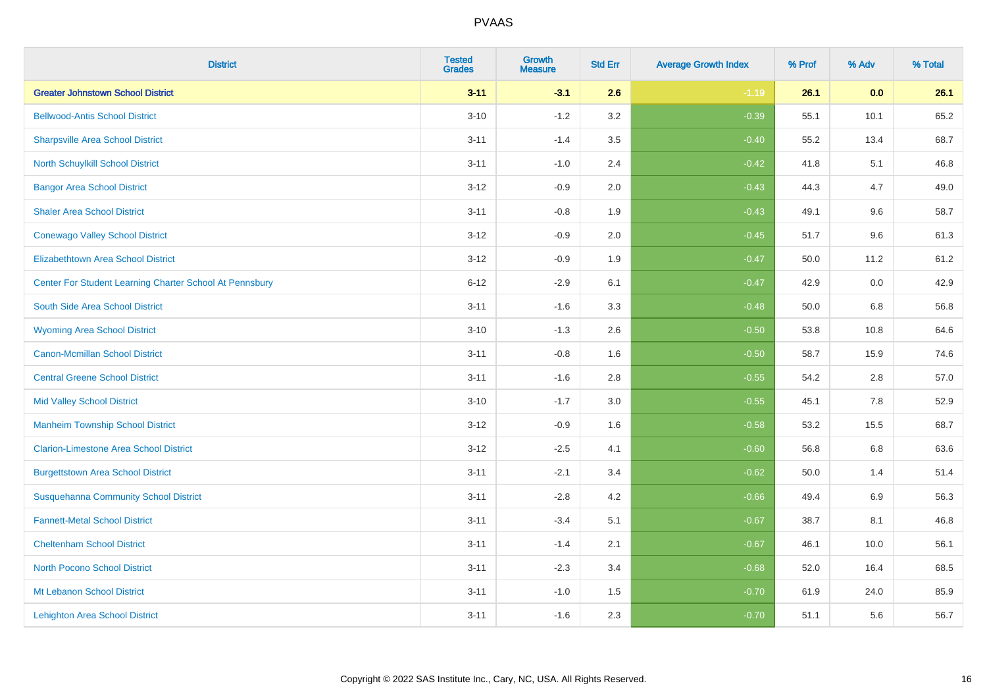| <b>District</b>                                         | <b>Tested</b><br><b>Grades</b> | Growth<br><b>Measure</b> | <b>Std Err</b> | <b>Average Growth Index</b> | % Prof | % Adv | % Total |
|---------------------------------------------------------|--------------------------------|--------------------------|----------------|-----------------------------|--------|-------|---------|
| <b>Greater Johnstown School District</b>                | $3 - 11$                       | $-3.1$                   | 2.6            | $-1.19$                     | 26.1   | 0.0   | 26.1    |
| <b>Bellwood-Antis School District</b>                   | $3 - 10$                       | $-1.2$                   | 3.2            | $-0.39$                     | 55.1   | 10.1  | 65.2    |
| <b>Sharpsville Area School District</b>                 | $3 - 11$                       | $-1.4$                   | 3.5            | $-0.40$                     | 55.2   | 13.4  | 68.7    |
| North Schuylkill School District                        | $3 - 11$                       | $-1.0$                   | 2.4            | $-0.42$                     | 41.8   | 5.1   | 46.8    |
| <b>Bangor Area School District</b>                      | $3 - 12$                       | $-0.9$                   | 2.0            | $-0.43$                     | 44.3   | 4.7   | 49.0    |
| <b>Shaler Area School District</b>                      | $3 - 11$                       | $-0.8$                   | 1.9            | $-0.43$                     | 49.1   | 9.6   | 58.7    |
| <b>Conewago Valley School District</b>                  | $3 - 12$                       | $-0.9$                   | 2.0            | $-0.45$                     | 51.7   | 9.6   | 61.3    |
| <b>Elizabethtown Area School District</b>               | $3 - 12$                       | $-0.9$                   | 1.9            | $-0.47$                     | 50.0   | 11.2  | 61.2    |
| Center For Student Learning Charter School At Pennsbury | $6 - 12$                       | $-2.9$                   | 6.1            | $-0.47$                     | 42.9   | 0.0   | 42.9    |
| South Side Area School District                         | $3 - 11$                       | $-1.6$                   | 3.3            | $-0.48$                     | 50.0   | 6.8   | 56.8    |
| <b>Wyoming Area School District</b>                     | $3 - 10$                       | $-1.3$                   | 2.6            | $-0.50$                     | 53.8   | 10.8  | 64.6    |
| Canon-Mcmillan School District                          | $3 - 11$                       | $-0.8$                   | 1.6            | $-0.50$                     | 58.7   | 15.9  | 74.6    |
| <b>Central Greene School District</b>                   | $3 - 11$                       | $-1.6$                   | 2.8            | $-0.55$                     | 54.2   | 2.8   | 57.0    |
| <b>Mid Valley School District</b>                       | $3 - 10$                       | $-1.7$                   | 3.0            | $-0.55$                     | 45.1   | 7.8   | 52.9    |
| <b>Manheim Township School District</b>                 | $3 - 12$                       | $-0.9$                   | 1.6            | $-0.58$                     | 53.2   | 15.5  | 68.7    |
| <b>Clarion-Limestone Area School District</b>           | $3 - 12$                       | $-2.5$                   | 4.1            | $-0.60$                     | 56.8   | 6.8   | 63.6    |
| <b>Burgettstown Area School District</b>                | $3 - 11$                       | $-2.1$                   | 3.4            | $-0.62$                     | 50.0   | 1.4   | 51.4    |
| <b>Susquehanna Community School District</b>            | $3 - 11$                       | $-2.8$                   | 4.2            | $-0.66$                     | 49.4   | 6.9   | 56.3    |
| <b>Fannett-Metal School District</b>                    | $3 - 11$                       | $-3.4$                   | 5.1            | $-0.67$                     | 38.7   | 8.1   | 46.8    |
| <b>Cheltenham School District</b>                       | $3 - 11$                       | $-1.4$                   | 2.1            | $-0.67$                     | 46.1   | 10.0  | 56.1    |
| <b>North Pocono School District</b>                     | $3 - 11$                       | $-2.3$                   | 3.4            | $-0.68$                     | 52.0   | 16.4  | 68.5    |
| Mt Lebanon School District                              | $3 - 11$                       | $-1.0$                   | 1.5            | $-0.70$                     | 61.9   | 24.0  | 85.9    |
| <b>Lehighton Area School District</b>                   | $3 - 11$                       | $-1.6$                   | 2.3            | $-0.70$                     | 51.1   | 5.6   | 56.7    |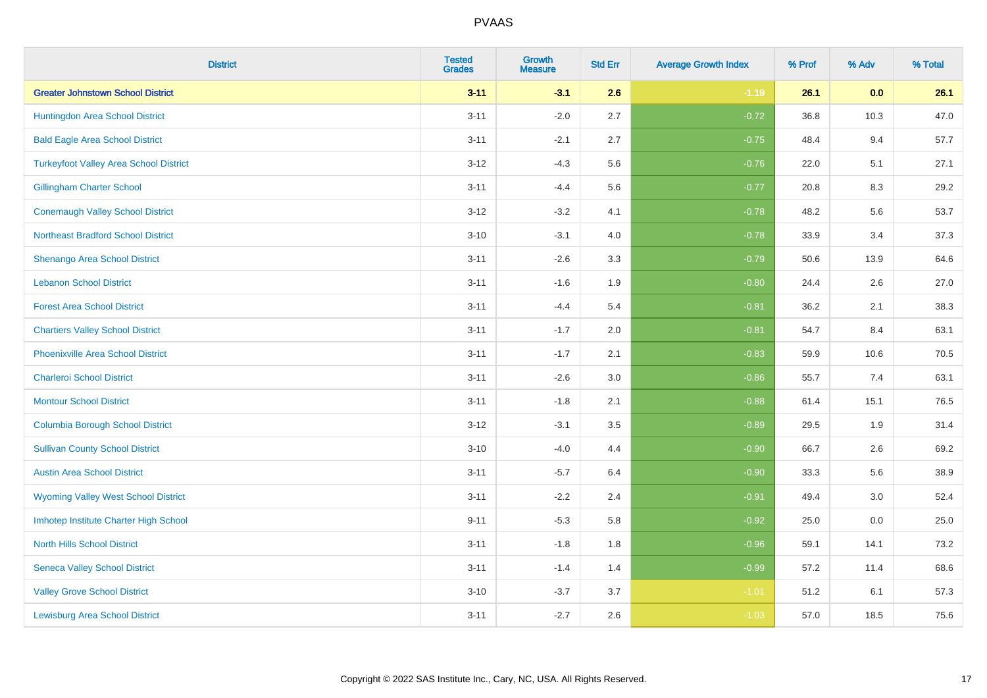| <b>District</b>                               | <b>Tested</b><br><b>Grades</b> | <b>Growth</b><br><b>Measure</b> | <b>Std Err</b> | <b>Average Growth Index</b> | % Prof | % Adv | % Total |
|-----------------------------------------------|--------------------------------|---------------------------------|----------------|-----------------------------|--------|-------|---------|
| <b>Greater Johnstown School District</b>      | $3 - 11$                       | $-3.1$                          | 2.6            | $-1.19$                     | 26.1   | 0.0   | 26.1    |
| Huntingdon Area School District               | $3 - 11$                       | $-2.0$                          | 2.7            | $-0.72$                     | 36.8   | 10.3  | 47.0    |
| <b>Bald Eagle Area School District</b>        | $3 - 11$                       | $-2.1$                          | 2.7            | $-0.75$                     | 48.4   | 9.4   | 57.7    |
| <b>Turkeyfoot Valley Area School District</b> | $3 - 12$                       | $-4.3$                          | 5.6            | $-0.76$                     | 22.0   | 5.1   | 27.1    |
| <b>Gillingham Charter School</b>              | $3 - 11$                       | $-4.4$                          | 5.6            | $-0.77$                     | 20.8   | 8.3   | 29.2    |
| <b>Conemaugh Valley School District</b>       | $3 - 12$                       | $-3.2$                          | 4.1            | $-0.78$                     | 48.2   | 5.6   | 53.7    |
| <b>Northeast Bradford School District</b>     | $3 - 10$                       | $-3.1$                          | 4.0            | $-0.78$                     | 33.9   | 3.4   | 37.3    |
| <b>Shenango Area School District</b>          | $3 - 11$                       | $-2.6$                          | 3.3            | $-0.79$                     | 50.6   | 13.9  | 64.6    |
| <b>Lebanon School District</b>                | $3 - 11$                       | $-1.6$                          | 1.9            | $-0.80$                     | 24.4   | 2.6   | 27.0    |
| <b>Forest Area School District</b>            | $3 - 11$                       | $-4.4$                          | 5.4            | $-0.81$                     | 36.2   | 2.1   | 38.3    |
| <b>Chartiers Valley School District</b>       | $3 - 11$                       | $-1.7$                          | 2.0            | $-0.81$                     | 54.7   | 8.4   | 63.1    |
| <b>Phoenixville Area School District</b>      | $3 - 11$                       | $-1.7$                          | 2.1            | $-0.83$                     | 59.9   | 10.6  | 70.5    |
| <b>Charleroi School District</b>              | $3 - 11$                       | $-2.6$                          | 3.0            | $-0.86$                     | 55.7   | 7.4   | 63.1    |
| <b>Montour School District</b>                | $3 - 11$                       | $-1.8$                          | 2.1            | $-0.88$                     | 61.4   | 15.1  | 76.5    |
| <b>Columbia Borough School District</b>       | $3-12$                         | $-3.1$                          | 3.5            | $-0.89$                     | 29.5   | 1.9   | 31.4    |
| <b>Sullivan County School District</b>        | $3 - 10$                       | $-4.0$                          | 4.4            | $-0.90$                     | 66.7   | 2.6   | 69.2    |
| <b>Austin Area School District</b>            | $3 - 11$                       | $-5.7$                          | 6.4            | $-0.90$                     | 33.3   | 5.6   | 38.9    |
| <b>Wyoming Valley West School District</b>    | $3 - 11$                       | $-2.2$                          | 2.4            | $-0.91$                     | 49.4   | 3.0   | 52.4    |
| Imhotep Institute Charter High School         | $9 - 11$                       | $-5.3$                          | 5.8            | $-0.92$                     | 25.0   | 0.0   | 25.0    |
| <b>North Hills School District</b>            | $3 - 11$                       | $-1.8$                          | 1.8            | $-0.96$                     | 59.1   | 14.1  | 73.2    |
| <b>Seneca Valley School District</b>          | $3 - 11$                       | $-1.4$                          | 1.4            | $-0.99$                     | 57.2   | 11.4  | 68.6    |
| <b>Valley Grove School District</b>           | $3 - 10$                       | $-3.7$                          | 3.7            | $-1.01$                     | 51.2   | 6.1   | 57.3    |
| <b>Lewisburg Area School District</b>         | $3 - 11$                       | $-2.7$                          | 2.6            | $-1.03$                     | 57.0   | 18.5  | 75.6    |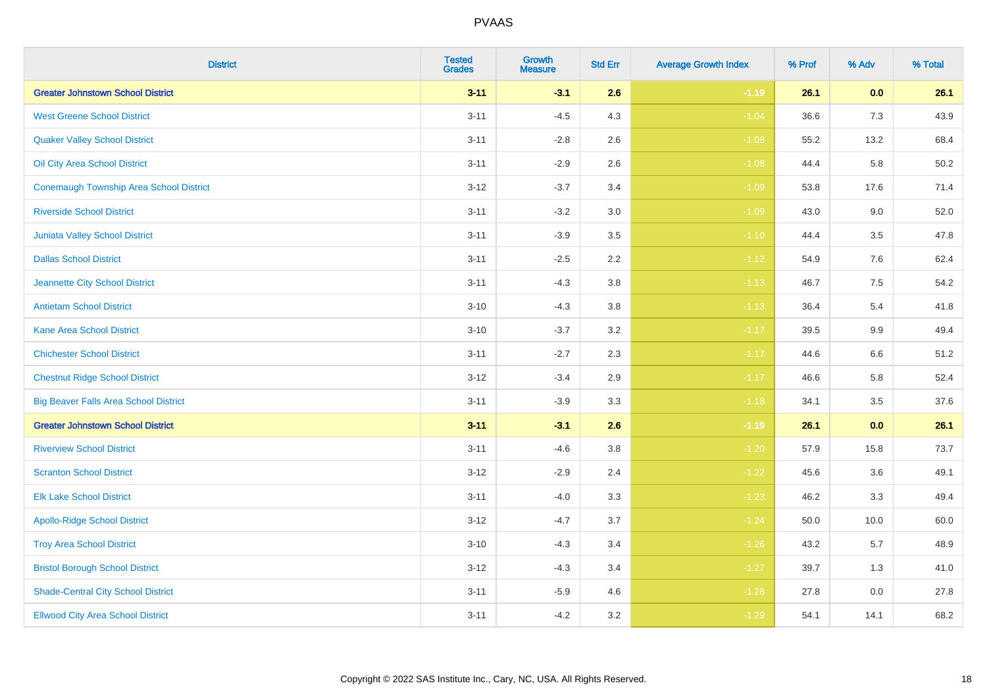| <b>District</b>                                | <b>Tested</b><br><b>Grades</b> | Growth<br><b>Measure</b> | <b>Std Err</b> | <b>Average Growth Index</b> | % Prof | % Adv   | % Total |
|------------------------------------------------|--------------------------------|--------------------------|----------------|-----------------------------|--------|---------|---------|
| <b>Greater Johnstown School District</b>       | $3 - 11$                       | $-3.1$                   | 2.6            | $-1.19$                     | 26.1   | 0.0     | 26.1    |
| <b>West Greene School District</b>             | $3 - 11$                       | $-4.5$                   | 4.3            | $-1.04$                     | 36.6   | 7.3     | 43.9    |
| <b>Quaker Valley School District</b>           | $3 - 11$                       | $-2.8$                   | 2.6            | $-1.08$                     | 55.2   | 13.2    | 68.4    |
| Oil City Area School District                  | $3 - 11$                       | $-2.9$                   | 2.6            | $-1.08$                     | 44.4   | 5.8     | 50.2    |
| <b>Conemaugh Township Area School District</b> | $3 - 12$                       | $-3.7$                   | 3.4            | $-1.09$                     | 53.8   | 17.6    | 71.4    |
| <b>Riverside School District</b>               | $3 - 11$                       | $-3.2$                   | 3.0            | $-1.09$                     | 43.0   | 9.0     | 52.0    |
| Juniata Valley School District                 | $3 - 11$                       | $-3.9$                   | 3.5            | $-1.10$                     | 44.4   | 3.5     | 47.8    |
| <b>Dallas School District</b>                  | $3 - 11$                       | $-2.5$                   | 2.2            | $-1.12$                     | 54.9   | 7.6     | 62.4    |
| Jeannette City School District                 | $3 - 11$                       | $-4.3$                   | 3.8            | $-1.13$                     | 46.7   | 7.5     | 54.2    |
| <b>Antietam School District</b>                | $3 - 10$                       | $-4.3$                   | 3.8            | $-1.13$                     | 36.4   | 5.4     | 41.8    |
| Kane Area School District                      | $3 - 10$                       | $-3.7$                   | 3.2            | $-1.17$                     | 39.5   | $9.9\,$ | 49.4    |
| <b>Chichester School District</b>              | $3 - 11$                       | $-2.7$                   | 2.3            | $-1.17$                     | 44.6   | 6.6     | 51.2    |
| <b>Chestnut Ridge School District</b>          | $3 - 12$                       | $-3.4$                   | 2.9            | $-1.17$                     | 46.6   | 5.8     | 52.4    |
| <b>Big Beaver Falls Area School District</b>   | $3 - 11$                       | $-3.9$                   | 3.3            | $-1.18$                     | 34.1   | 3.5     | 37.6    |
| <b>Greater Johnstown School District</b>       | $3 - 11$                       | $-3.1$                   | 2.6            | $-1.19$                     | 26.1   | 0.0     | 26.1    |
| <b>Riverview School District</b>               | $3 - 11$                       | $-4.6$                   | 3.8            | $-1.20$                     | 57.9   | 15.8    | 73.7    |
| <b>Scranton School District</b>                | $3 - 12$                       | $-2.9$                   | 2.4            | $-1.22$                     | 45.6   | 3.6     | 49.1    |
| <b>Elk Lake School District</b>                | $3 - 11$                       | $-4.0$                   | 3.3            | $-1.23$                     | 46.2   | 3.3     | 49.4    |
| <b>Apollo-Ridge School District</b>            | $3 - 12$                       | $-4.7$                   | 3.7            | $-1.24$                     | 50.0   | 10.0    | 60.0    |
| <b>Troy Area School District</b>               | $3 - 10$                       | $-4.3$                   | 3.4            | $-1.26$                     | 43.2   | 5.7     | 48.9    |
| <b>Bristol Borough School District</b>         | $3 - 12$                       | $-4.3$                   | 3.4            | $-1.27$                     | 39.7   | 1.3     | 41.0    |
| <b>Shade-Central City School District</b>      | $3 - 11$                       | $-5.9$                   | 4.6            | $-1.28$                     | 27.8   | 0.0     | 27.8    |
| <b>Ellwood City Area School District</b>       | $3 - 11$                       | $-4.2$                   | 3.2            | $-1.29$                     | 54.1   | 14.1    | 68.2    |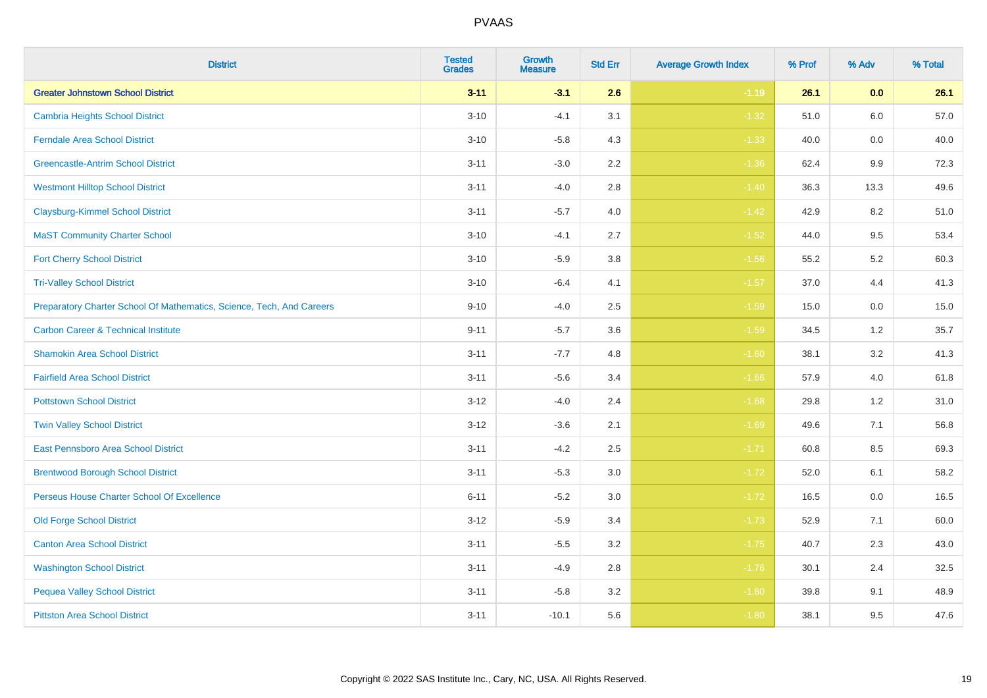| <b>District</b>                                                       | <b>Tested</b><br><b>Grades</b> | Growth<br><b>Measure</b> | <b>Std Err</b> | <b>Average Growth Index</b> | % Prof | % Adv   | % Total |
|-----------------------------------------------------------------------|--------------------------------|--------------------------|----------------|-----------------------------|--------|---------|---------|
| <b>Greater Johnstown School District</b>                              | $3 - 11$                       | $-3.1$                   | 2.6            | $-1.19$                     | 26.1   | 0.0     | 26.1    |
| <b>Cambria Heights School District</b>                                | $3 - 10$                       | $-4.1$                   | 3.1            | $-1.32$                     | 51.0   | 6.0     | 57.0    |
| <b>Ferndale Area School District</b>                                  | $3 - 10$                       | $-5.8$                   | 4.3            | $-1.33$                     | 40.0   | 0.0     | 40.0    |
| <b>Greencastle-Antrim School District</b>                             | $3 - 11$                       | $-3.0$                   | $2.2\,$        | $-1.36$                     | 62.4   | $9.9\,$ | 72.3    |
| <b>Westmont Hilltop School District</b>                               | $3 - 11$                       | $-4.0$                   | 2.8            | $-1.40$                     | 36.3   | 13.3    | 49.6    |
| <b>Claysburg-Kimmel School District</b>                               | $3 - 11$                       | $-5.7$                   | 4.0            | $-1.42$                     | 42.9   | 8.2     | 51.0    |
| <b>MaST Community Charter School</b>                                  | $3 - 10$                       | $-4.1$                   | 2.7            | $-1.52$                     | 44.0   | 9.5     | 53.4    |
| <b>Fort Cherry School District</b>                                    | $3 - 10$                       | $-5.9$                   | 3.8            | $-1.56$                     | 55.2   | 5.2     | 60.3    |
| <b>Tri-Valley School District</b>                                     | $3 - 10$                       | $-6.4$                   | 4.1            | $-1.57$                     | 37.0   | 4.4     | 41.3    |
| Preparatory Charter School Of Mathematics, Science, Tech, And Careers | $9 - 10$                       | $-4.0$                   | $2.5\,$        | $-1.59$                     | 15.0   | 0.0     | 15.0    |
| <b>Carbon Career &amp; Technical Institute</b>                        | $9 - 11$                       | $-5.7$                   | 3.6            | $-1.59$                     | 34.5   | 1.2     | 35.7    |
| <b>Shamokin Area School District</b>                                  | $3 - 11$                       | $-7.7$                   | 4.8            | $-1.60$                     | 38.1   | 3.2     | 41.3    |
| <b>Fairfield Area School District</b>                                 | $3 - 11$                       | $-5.6$                   | 3.4            | $-1.66$                     | 57.9   | 4.0     | 61.8    |
| <b>Pottstown School District</b>                                      | $3-12$                         | $-4.0$                   | 2.4            | $-1.68$                     | 29.8   | 1.2     | 31.0    |
| <b>Twin Valley School District</b>                                    | $3-12$                         | $-3.6$                   | 2.1            | $-1.69$                     | 49.6   | 7.1     | 56.8    |
| <b>East Pennsboro Area School District</b>                            | $3 - 11$                       | $-4.2$                   | 2.5            | $-1.71$                     | 60.8   | 8.5     | 69.3    |
| <b>Brentwood Borough School District</b>                              | $3 - 11$                       | $-5.3$                   | 3.0            | $-1.72$                     | 52.0   | 6.1     | 58.2    |
| Perseus House Charter School Of Excellence                            | $6 - 11$                       | $-5.2$                   | 3.0            | $-1.72$                     | 16.5   | 0.0     | 16.5    |
| <b>Old Forge School District</b>                                      | $3 - 12$                       | $-5.9$                   | 3.4            | $-1.73$                     | 52.9   | 7.1     | 60.0    |
| <b>Canton Area School District</b>                                    | $3 - 11$                       | $-5.5$                   | 3.2            | $-1.75$                     | 40.7   | 2.3     | 43.0    |
| <b>Washington School District</b>                                     | $3 - 11$                       | $-4.9$                   | 2.8            | $-1.76$                     | 30.1   | 2.4     | 32.5    |
| <b>Pequea Valley School District</b>                                  | $3 - 11$                       | $-5.8$                   | 3.2            | $-1.80$                     | 39.8   | 9.1     | 48.9    |
| <b>Pittston Area School District</b>                                  | $3 - 11$                       | $-10.1$                  | 5.6            | $-1.80$                     | 38.1   | 9.5     | 47.6    |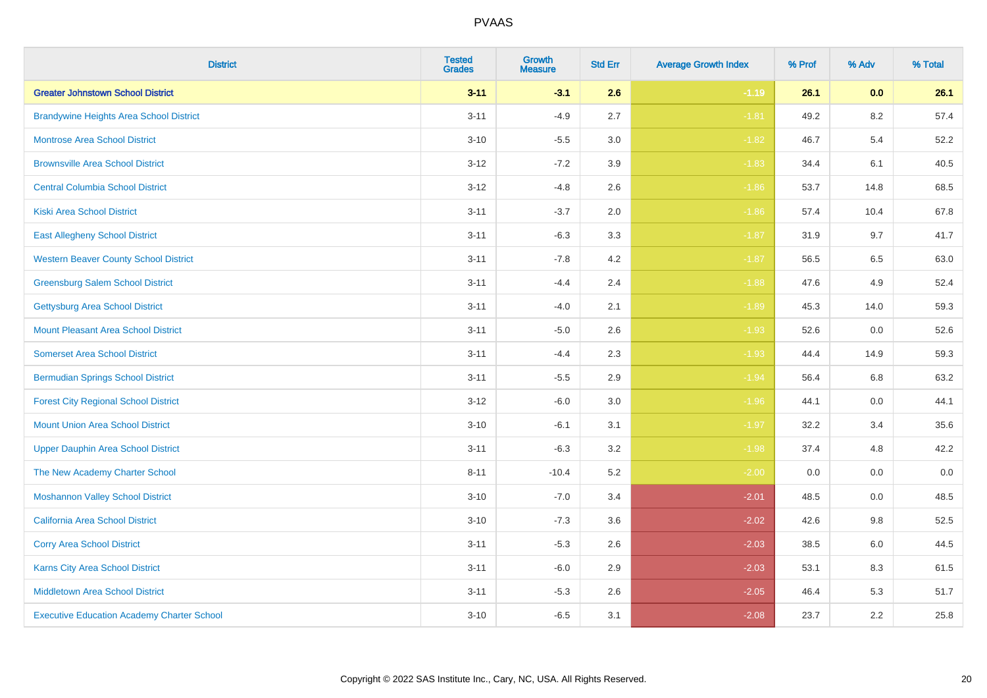| <b>District</b>                                   | <b>Tested</b><br><b>Grades</b> | <b>Growth</b><br><b>Measure</b> | <b>Std Err</b> | <b>Average Growth Index</b> | % Prof | % Adv   | % Total |
|---------------------------------------------------|--------------------------------|---------------------------------|----------------|-----------------------------|--------|---------|---------|
| <b>Greater Johnstown School District</b>          | $3 - 11$                       | $-3.1$                          | 2.6            | $-1.19$                     | 26.1   | 0.0     | 26.1    |
| <b>Brandywine Heights Area School District</b>    | $3 - 11$                       | $-4.9$                          | 2.7            | $-1.81$                     | 49.2   | $8.2\,$ | 57.4    |
| <b>Montrose Area School District</b>              | $3 - 10$                       | $-5.5$                          | 3.0            | $-1.82$                     | 46.7   | 5.4     | 52.2    |
| <b>Brownsville Area School District</b>           | $3 - 12$                       | $-7.2$                          | 3.9            | $-1.83$                     | 34.4   | 6.1     | 40.5    |
| <b>Central Columbia School District</b>           | $3 - 12$                       | $-4.8$                          | 2.6            | $-1.86$                     | 53.7   | 14.8    | 68.5    |
| <b>Kiski Area School District</b>                 | $3 - 11$                       | $-3.7$                          | 2.0            | $-1.86$                     | 57.4   | 10.4    | 67.8    |
| <b>East Allegheny School District</b>             | $3 - 11$                       | $-6.3$                          | 3.3            | $-1.87$                     | 31.9   | 9.7     | 41.7    |
| <b>Western Beaver County School District</b>      | $3 - 11$                       | $-7.8$                          | 4.2            | $-1.87$                     | 56.5   | 6.5     | 63.0    |
| <b>Greensburg Salem School District</b>           | $3 - 11$                       | $-4.4$                          | 2.4            | $-1.88$                     | 47.6   | 4.9     | 52.4    |
| <b>Gettysburg Area School District</b>            | $3 - 11$                       | $-4.0$                          | 2.1            | $-1.89$                     | 45.3   | 14.0    | 59.3    |
| <b>Mount Pleasant Area School District</b>        | $3 - 11$                       | $-5.0$                          | 2.6            | $-1.93$                     | 52.6   | 0.0     | 52.6    |
| <b>Somerset Area School District</b>              | $3 - 11$                       | $-4.4$                          | 2.3            | $-1.93$                     | 44.4   | 14.9    | 59.3    |
| <b>Bermudian Springs School District</b>          | $3 - 11$                       | $-5.5$                          | 2.9            | $-1.94$                     | 56.4   | 6.8     | 63.2    |
| <b>Forest City Regional School District</b>       | $3 - 12$                       | $-6.0$                          | 3.0            | $-1.96$                     | 44.1   | 0.0     | 44.1    |
| <b>Mount Union Area School District</b>           | $3 - 10$                       | $-6.1$                          | 3.1            | $-1.97$                     | 32.2   | 3.4     | 35.6    |
| <b>Upper Dauphin Area School District</b>         | $3 - 11$                       | $-6.3$                          | 3.2            | $-1.98$                     | 37.4   | 4.8     | 42.2    |
| The New Academy Charter School                    | $8 - 11$                       | $-10.4$                         | 5.2            | $-2.00$                     | 0.0    | 0.0     | $0.0\,$ |
| <b>Moshannon Valley School District</b>           | $3 - 10$                       | $-7.0$                          | 3.4            | $-2.01$                     | 48.5   | 0.0     | 48.5    |
| <b>California Area School District</b>            | $3 - 10$                       | $-7.3$                          | 3.6            | $-2.02$                     | 42.6   | 9.8     | 52.5    |
| <b>Corry Area School District</b>                 | $3 - 11$                       | $-5.3$                          | 2.6            | $-2.03$                     | 38.5   | 6.0     | 44.5    |
| Karns City Area School District                   | $3 - 11$                       | $-6.0$                          | 2.9            | $-2.03$                     | 53.1   | 8.3     | 61.5    |
| <b>Middletown Area School District</b>            | $3 - 11$                       | $-5.3$                          | 2.6            | $-2.05$                     | 46.4   | 5.3     | 51.7    |
| <b>Executive Education Academy Charter School</b> | $3 - 10$                       | $-6.5$                          | 3.1            | $-2.08$                     | 23.7   | 2.2     | 25.8    |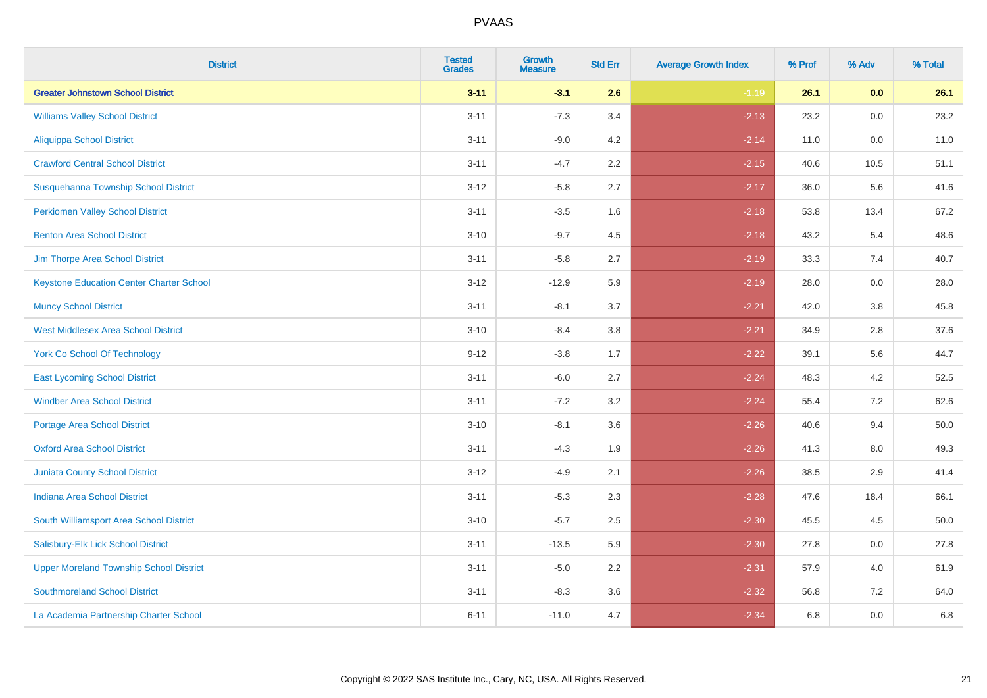| <b>District</b>                                 | <b>Tested</b><br><b>Grades</b> | <b>Growth</b><br><b>Measure</b> | <b>Std Err</b> | <b>Average Growth Index</b> | % Prof | % Adv   | % Total |
|-------------------------------------------------|--------------------------------|---------------------------------|----------------|-----------------------------|--------|---------|---------|
| <b>Greater Johnstown School District</b>        | $3 - 11$                       | $-3.1$                          | 2.6            | $-1.19$                     | 26.1   | 0.0     | 26.1    |
| <b>Williams Valley School District</b>          | $3 - 11$                       | $-7.3$                          | 3.4            | $-2.13$                     | 23.2   | 0.0     | 23.2    |
| <b>Aliquippa School District</b>                | $3 - 11$                       | $-9.0$                          | 4.2            | $-2.14$                     | 11.0   | 0.0     | 11.0    |
| <b>Crawford Central School District</b>         | $3 - 11$                       | $-4.7$                          | 2.2            | $-2.15$                     | 40.6   | 10.5    | 51.1    |
| Susquehanna Township School District            | $3 - 12$                       | $-5.8$                          | 2.7            | $-2.17$                     | 36.0   | 5.6     | 41.6    |
| <b>Perkiomen Valley School District</b>         | $3 - 11$                       | $-3.5$                          | 1.6            | $-2.18$                     | 53.8   | 13.4    | 67.2    |
| <b>Benton Area School District</b>              | $3 - 10$                       | $-9.7$                          | 4.5            | $-2.18$                     | 43.2   | 5.4     | 48.6    |
| Jim Thorpe Area School District                 | $3 - 11$                       | $-5.8$                          | 2.7            | $-2.19$                     | 33.3   | 7.4     | 40.7    |
| <b>Keystone Education Center Charter School</b> | $3 - 12$                       | $-12.9$                         | 5.9            | $-2.19$                     | 28.0   | 0.0     | 28.0    |
| <b>Muncy School District</b>                    | $3 - 11$                       | $-8.1$                          | 3.7            | $-2.21$                     | 42.0   | 3.8     | 45.8    |
| <b>West Middlesex Area School District</b>      | $3 - 10$                       | $-8.4$                          | 3.8            | $-2.21$                     | 34.9   | 2.8     | 37.6    |
| <b>York Co School Of Technology</b>             | $9 - 12$                       | $-3.8$                          | 1.7            | $-2.22$                     | 39.1   | 5.6     | 44.7    |
| <b>East Lycoming School District</b>            | $3 - 11$                       | $-6.0$                          | 2.7            | $-2.24$                     | 48.3   | 4.2     | 52.5    |
| <b>Windber Area School District</b>             | $3 - 11$                       | $-7.2$                          | 3.2            | $-2.24$                     | 55.4   | 7.2     | 62.6    |
| <b>Portage Area School District</b>             | $3 - 10$                       | $-8.1$                          | 3.6            | $-2.26$                     | 40.6   | 9.4     | 50.0    |
| <b>Oxford Area School District</b>              | $3 - 11$                       | $-4.3$                          | 1.9            | $-2.26$                     | 41.3   | $8.0\,$ | 49.3    |
| <b>Juniata County School District</b>           | $3 - 12$                       | $-4.9$                          | 2.1            | $-2.26$                     | 38.5   | 2.9     | 41.4    |
| <b>Indiana Area School District</b>             | $3 - 11$                       | $-5.3$                          | 2.3            | $-2.28$                     | 47.6   | 18.4    | 66.1    |
| South Williamsport Area School District         | $3 - 10$                       | $-5.7$                          | 2.5            | $-2.30$                     | 45.5   | 4.5     | 50.0    |
| Salisbury-Elk Lick School District              | $3 - 11$                       | $-13.5$                         | 5.9            | $-2.30$                     | 27.8   | 0.0     | 27.8    |
| <b>Upper Moreland Township School District</b>  | $3 - 11$                       | $-5.0$                          | 2.2            | $-2.31$                     | 57.9   | 4.0     | 61.9    |
| <b>Southmoreland School District</b>            | $3 - 11$                       | $-8.3$                          | 3.6            | $-2.32$                     | 56.8   | 7.2     | 64.0    |
| La Academia Partnership Charter School          | $6 - 11$                       | $-11.0$                         | 4.7            | $-2.34$                     | 6.8    | 0.0     | 6.8     |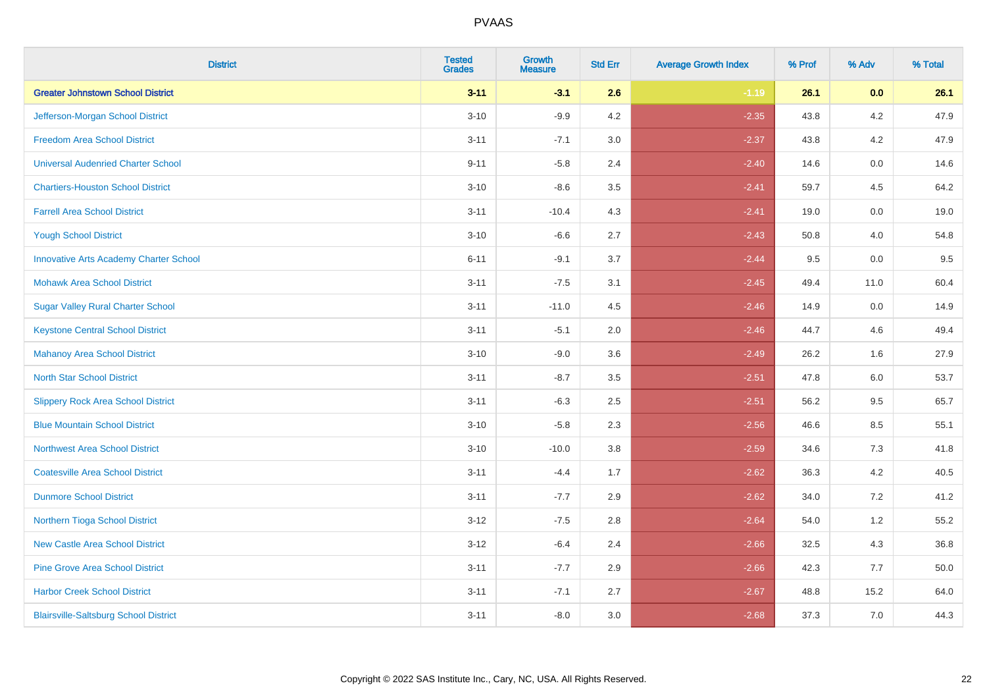| <b>District</b>                               | <b>Tested</b><br><b>Grades</b> | Growth<br><b>Measure</b> | <b>Std Err</b> | <b>Average Growth Index</b> | % Prof | % Adv   | % Total |
|-----------------------------------------------|--------------------------------|--------------------------|----------------|-----------------------------|--------|---------|---------|
| <b>Greater Johnstown School District</b>      | $3 - 11$                       | $-3.1$                   | 2.6            | $-1.19$                     | 26.1   | 0.0     | 26.1    |
| Jefferson-Morgan School District              | $3 - 10$                       | $-9.9$                   | 4.2            | $-2.35$                     | 43.8   | 4.2     | 47.9    |
| <b>Freedom Area School District</b>           | $3 - 11$                       | $-7.1$                   | 3.0            | $-2.37$                     | 43.8   | 4.2     | 47.9    |
| <b>Universal Audenried Charter School</b>     | $9 - 11$                       | $-5.8$                   | 2.4            | $-2.40$                     | 14.6   | 0.0     | 14.6    |
| <b>Chartiers-Houston School District</b>      | $3 - 10$                       | $-8.6$                   | 3.5            | $-2.41$                     | 59.7   | 4.5     | 64.2    |
| <b>Farrell Area School District</b>           | $3 - 11$                       | $-10.4$                  | 4.3            | $-2.41$                     | 19.0   | 0.0     | 19.0    |
| <b>Yough School District</b>                  | $3 - 10$                       | $-6.6$                   | 2.7            | $-2.43$                     | 50.8   | 4.0     | 54.8    |
| <b>Innovative Arts Academy Charter School</b> | $6 - 11$                       | $-9.1$                   | 3.7            | $-2.44$                     | 9.5    | 0.0     | 9.5     |
| <b>Mohawk Area School District</b>            | $3 - 11$                       | $-7.5$                   | 3.1            | $-2.45$                     | 49.4   | 11.0    | 60.4    |
| <b>Sugar Valley Rural Charter School</b>      | $3 - 11$                       | $-11.0$                  | 4.5            | $-2.46$                     | 14.9   | 0.0     | 14.9    |
| <b>Keystone Central School District</b>       | $3 - 11$                       | $-5.1$                   | 2.0            | $-2.46$                     | 44.7   | 4.6     | 49.4    |
| <b>Mahanoy Area School District</b>           | $3 - 10$                       | $-9.0$                   | 3.6            | $-2.49$                     | 26.2   | 1.6     | 27.9    |
| <b>North Star School District</b>             | $3 - 11$                       | $-8.7$                   | 3.5            | $-2.51$                     | 47.8   | $6.0\,$ | 53.7    |
| <b>Slippery Rock Area School District</b>     | $3 - 11$                       | $-6.3$                   | 2.5            | $-2.51$                     | 56.2   | 9.5     | 65.7    |
| <b>Blue Mountain School District</b>          | $3 - 10$                       | $-5.8$                   | 2.3            | $-2.56$                     | 46.6   | 8.5     | 55.1    |
| <b>Northwest Area School District</b>         | $3 - 10$                       | $-10.0$                  | 3.8            | $-2.59$                     | 34.6   | 7.3     | 41.8    |
| <b>Coatesville Area School District</b>       | $3 - 11$                       | $-4.4$                   | 1.7            | $-2.62$                     | 36.3   | 4.2     | 40.5    |
| <b>Dunmore School District</b>                | $3 - 11$                       | $-7.7$                   | 2.9            | $-2.62$                     | 34.0   | 7.2     | 41.2    |
| Northern Tioga School District                | $3 - 12$                       | $-7.5$                   | 2.8            | $-2.64$                     | 54.0   | 1.2     | 55.2    |
| <b>New Castle Area School District</b>        | $3 - 12$                       | $-6.4$                   | 2.4            | $-2.66$                     | 32.5   | 4.3     | 36.8    |
| <b>Pine Grove Area School District</b>        | $3 - 11$                       | $-7.7$                   | 2.9            | $-2.66$                     | 42.3   | 7.7     | 50.0    |
| <b>Harbor Creek School District</b>           | $3 - 11$                       | $-7.1$                   | 2.7            | $-2.67$                     | 48.8   | 15.2    | 64.0    |
| <b>Blairsville-Saltsburg School District</b>  | $3 - 11$                       | $-8.0$                   | 3.0            | $-2.68$                     | 37.3   | 7.0     | 44.3    |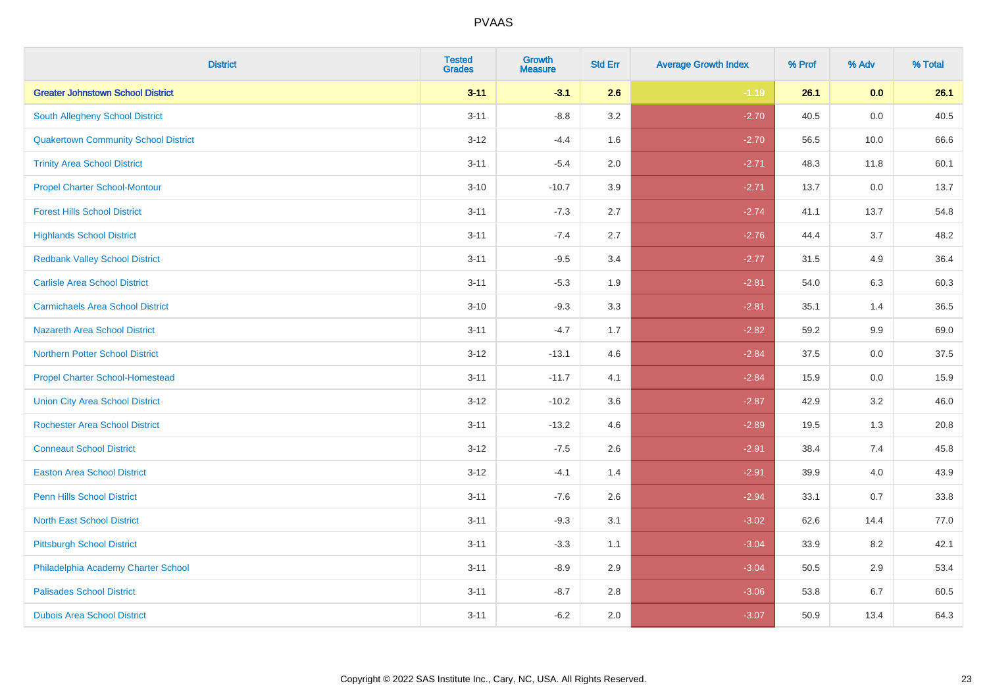| <b>District</b>                             | <b>Tested</b><br><b>Grades</b> | <b>Growth</b><br><b>Measure</b> | <b>Std Err</b> | <b>Average Growth Index</b> | % Prof | % Adv | % Total |
|---------------------------------------------|--------------------------------|---------------------------------|----------------|-----------------------------|--------|-------|---------|
| <b>Greater Johnstown School District</b>    | $3 - 11$                       | $-3.1$                          | 2.6            | $-1.19$                     | 26.1   | 0.0   | 26.1    |
| South Allegheny School District             | $3 - 11$                       | $-8.8$                          | 3.2            | $-2.70$                     | 40.5   | 0.0   | 40.5    |
| <b>Quakertown Community School District</b> | $3 - 12$                       | $-4.4$                          | 1.6            | $-2.70$                     | 56.5   | 10.0  | 66.6    |
| <b>Trinity Area School District</b>         | $3 - 11$                       | $-5.4$                          | 2.0            | $-2.71$                     | 48.3   | 11.8  | 60.1    |
| <b>Propel Charter School-Montour</b>        | $3 - 10$                       | $-10.7$                         | 3.9            | $-2.71$                     | 13.7   | 0.0   | 13.7    |
| <b>Forest Hills School District</b>         | $3 - 11$                       | $-7.3$                          | 2.7            | $-2.74$                     | 41.1   | 13.7  | 54.8    |
| <b>Highlands School District</b>            | $3 - 11$                       | $-7.4$                          | 2.7            | $-2.76$                     | 44.4   | 3.7   | 48.2    |
| <b>Redbank Valley School District</b>       | $3 - 11$                       | $-9.5$                          | 3.4            | $-2.77$                     | 31.5   | 4.9   | 36.4    |
| <b>Carlisle Area School District</b>        | $3 - 11$                       | $-5.3$                          | 1.9            | $-2.81$                     | 54.0   | 6.3   | 60.3    |
| <b>Carmichaels Area School District</b>     | $3 - 10$                       | $-9.3$                          | 3.3            | $-2.81$                     | 35.1   | 1.4   | 36.5    |
| <b>Nazareth Area School District</b>        | $3 - 11$                       | $-4.7$                          | 1.7            | $-2.82$                     | 59.2   | 9.9   | 69.0    |
| <b>Northern Potter School District</b>      | $3-12$                         | $-13.1$                         | 4.6            | $-2.84$                     | 37.5   | 0.0   | 37.5    |
| <b>Propel Charter School-Homestead</b>      | $3 - 11$                       | $-11.7$                         | 4.1            | $-2.84$                     | 15.9   | 0.0   | 15.9    |
| <b>Union City Area School District</b>      | $3 - 12$                       | $-10.2$                         | 3.6            | $-2.87$                     | 42.9   | 3.2   | 46.0    |
| <b>Rochester Area School District</b>       | $3 - 11$                       | $-13.2$                         | 4.6            | $-2.89$                     | 19.5   | 1.3   | 20.8    |
| <b>Conneaut School District</b>             | $3 - 12$                       | $-7.5$                          | 2.6            | $-2.91$                     | 38.4   | 7.4   | 45.8    |
| <b>Easton Area School District</b>          | $3 - 12$                       | $-4.1$                          | 1.4            | $-2.91$                     | 39.9   | 4.0   | 43.9    |
| <b>Penn Hills School District</b>           | $3 - 11$                       | $-7.6$                          | 2.6            | $-2.94$                     | 33.1   | 0.7   | 33.8    |
| <b>North East School District</b>           | $3 - 11$                       | $-9.3$                          | 3.1            | $-3.02$                     | 62.6   | 14.4  | 77.0    |
| <b>Pittsburgh School District</b>           | $3 - 11$                       | $-3.3$                          | 1.1            | $-3.04$                     | 33.9   | 8.2   | 42.1    |
| Philadelphia Academy Charter School         | $3 - 11$                       | $-8.9$                          | 2.9            | $-3.04$                     | 50.5   | 2.9   | 53.4    |
| <b>Palisades School District</b>            | $3 - 11$                       | $-8.7$                          | 2.8            | $-3.06$                     | 53.8   | 6.7   | 60.5    |
| <b>Dubois Area School District</b>          | $3 - 11$                       | $-6.2$                          | 2.0            | $-3.07$                     | 50.9   | 13.4  | 64.3    |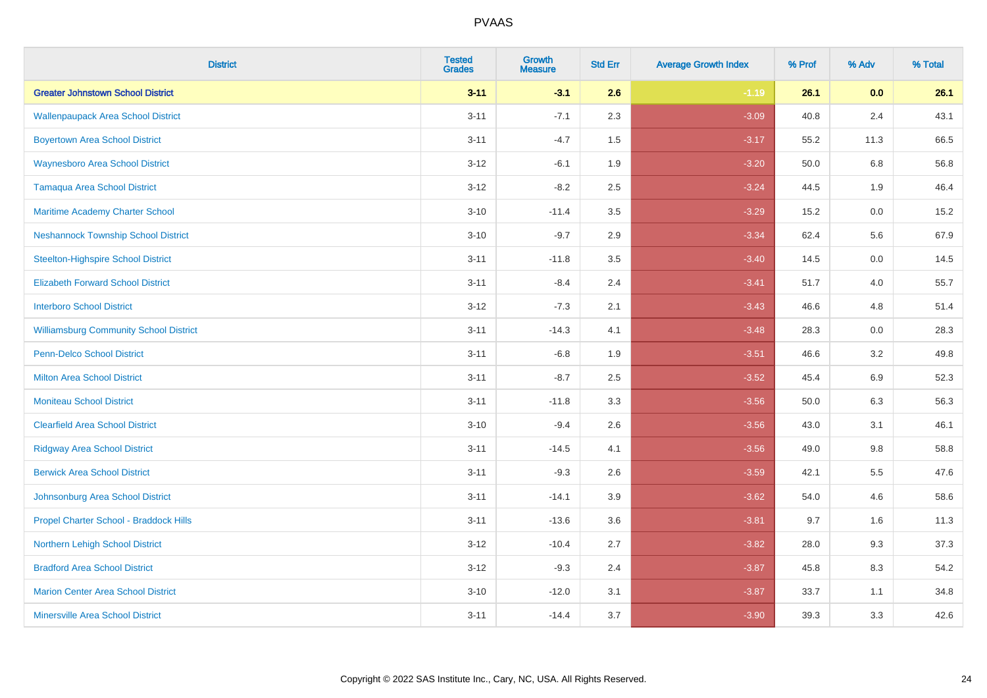| <b>District</b>                               | <b>Tested</b><br><b>Grades</b> | <b>Growth</b><br><b>Measure</b> | <b>Std Err</b> | <b>Average Growth Index</b> | % Prof | % Adv   | % Total |
|-----------------------------------------------|--------------------------------|---------------------------------|----------------|-----------------------------|--------|---------|---------|
| <b>Greater Johnstown School District</b>      | $3 - 11$                       | $-3.1$                          | 2.6            | $-1.19$                     | 26.1   | 0.0     | 26.1    |
| <b>Wallenpaupack Area School District</b>     | $3 - 11$                       | $-7.1$                          | 2.3            | $-3.09$                     | 40.8   | 2.4     | 43.1    |
| <b>Boyertown Area School District</b>         | $3 - 11$                       | $-4.7$                          | 1.5            | $-3.17$                     | 55.2   | 11.3    | 66.5    |
| <b>Waynesboro Area School District</b>        | $3-12$                         | $-6.1$                          | 1.9            | $-3.20$                     | 50.0   | 6.8     | 56.8    |
| <b>Tamaqua Area School District</b>           | $3 - 12$                       | $-8.2$                          | 2.5            | $-3.24$                     | 44.5   | 1.9     | 46.4    |
| Maritime Academy Charter School               | $3 - 10$                       | $-11.4$                         | 3.5            | $-3.29$                     | 15.2   | 0.0     | 15.2    |
| <b>Neshannock Township School District</b>    | $3 - 10$                       | $-9.7$                          | 2.9            | $-3.34$                     | 62.4   | 5.6     | 67.9    |
| <b>Steelton-Highspire School District</b>     | $3 - 11$                       | $-11.8$                         | 3.5            | $-3.40$                     | 14.5   | 0.0     | 14.5    |
| <b>Elizabeth Forward School District</b>      | $3 - 11$                       | $-8.4$                          | 2.4            | $-3.41$                     | 51.7   | 4.0     | 55.7    |
| <b>Interboro School District</b>              | $3-12$                         | $-7.3$                          | 2.1            | $-3.43$                     | 46.6   | 4.8     | 51.4    |
| <b>Williamsburg Community School District</b> | $3 - 11$                       | $-14.3$                         | 4.1            | $-3.48$                     | 28.3   | 0.0     | 28.3    |
| Penn-Delco School District                    | $3 - 11$                       | $-6.8$                          | 1.9            | $-3.51$                     | 46.6   | 3.2     | 49.8    |
| <b>Milton Area School District</b>            | $3 - 11$                       | $-8.7$                          | 2.5            | $-3.52$                     | 45.4   | 6.9     | 52.3    |
| <b>Moniteau School District</b>               | $3 - 11$                       | $-11.8$                         | 3.3            | $-3.56$                     | 50.0   | 6.3     | 56.3    |
| <b>Clearfield Area School District</b>        | $3 - 10$                       | $-9.4$                          | 2.6            | $-3.56$                     | 43.0   | 3.1     | 46.1    |
| <b>Ridgway Area School District</b>           | $3 - 11$                       | $-14.5$                         | 4.1            | $-3.56$                     | 49.0   | $9.8\,$ | 58.8    |
| <b>Berwick Area School District</b>           | $3 - 11$                       | $-9.3$                          | 2.6            | $-3.59$                     | 42.1   | 5.5     | 47.6    |
| Johnsonburg Area School District              | $3 - 11$                       | $-14.1$                         | 3.9            | $-3.62$                     | 54.0   | 4.6     | 58.6    |
| Propel Charter School - Braddock Hills        | $3 - 11$                       | $-13.6$                         | 3.6            | $-3.81$                     | 9.7    | 1.6     | 11.3    |
| <b>Northern Lehigh School District</b>        | $3-12$                         | $-10.4$                         | 2.7            | $-3.82$                     | 28.0   | 9.3     | 37.3    |
| <b>Bradford Area School District</b>          | $3-12$                         | $-9.3$                          | 2.4            | $-3.87$                     | 45.8   | 8.3     | 54.2    |
| <b>Marion Center Area School District</b>     | $3 - 10$                       | $-12.0$                         | 3.1            | $-3.87$                     | 33.7   | 1.1     | 34.8    |
| <b>Minersville Area School District</b>       | $3 - 11$                       | $-14.4$                         | 3.7            | $-3.90$                     | 39.3   | 3.3     | 42.6    |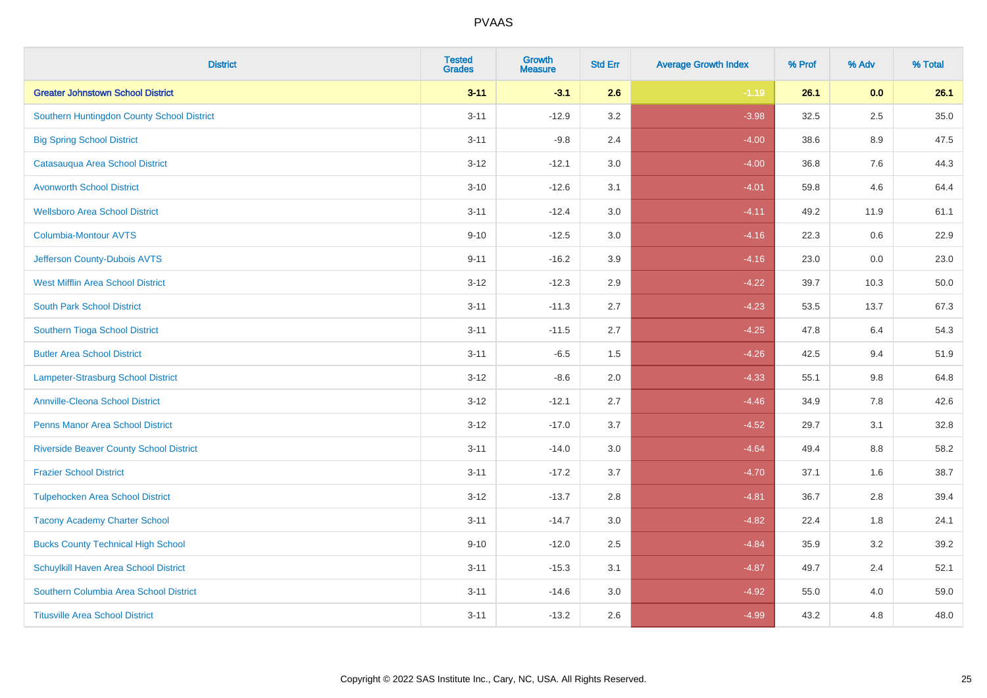| <b>District</b>                                | <b>Tested</b><br><b>Grades</b> | <b>Growth</b><br><b>Measure</b> | <b>Std Err</b> | <b>Average Growth Index</b> | % Prof | % Adv   | % Total |
|------------------------------------------------|--------------------------------|---------------------------------|----------------|-----------------------------|--------|---------|---------|
| <b>Greater Johnstown School District</b>       | $3 - 11$                       | $-3.1$                          | 2.6            | $-1.19$                     | 26.1   | 0.0     | 26.1    |
| Southern Huntingdon County School District     | $3 - 11$                       | $-12.9$                         | 3.2            | $-3.98$                     | 32.5   | $2.5\,$ | 35.0    |
| <b>Big Spring School District</b>              | $3 - 11$                       | $-9.8$                          | 2.4            | $-4.00$                     | 38.6   | 8.9     | 47.5    |
| Catasauqua Area School District                | $3 - 12$                       | $-12.1$                         | 3.0            | $-4.00$                     | 36.8   | 7.6     | 44.3    |
| <b>Avonworth School District</b>               | $3 - 10$                       | $-12.6$                         | 3.1            | $-4.01$                     | 59.8   | 4.6     | 64.4    |
| <b>Wellsboro Area School District</b>          | $3 - 11$                       | $-12.4$                         | 3.0            | $-4.11$                     | 49.2   | 11.9    | 61.1    |
| Columbia-Montour AVTS                          | $9 - 10$                       | $-12.5$                         | 3.0            | $-4.16$                     | 22.3   | 0.6     | 22.9    |
| Jefferson County-Dubois AVTS                   | $9 - 11$                       | $-16.2$                         | 3.9            | $-4.16$                     | 23.0   | 0.0     | 23.0    |
| <b>West Mifflin Area School District</b>       | $3 - 12$                       | $-12.3$                         | 2.9            | $-4.22$                     | 39.7   | 10.3    | 50.0    |
| <b>South Park School District</b>              | $3 - 11$                       | $-11.3$                         | 2.7            | $-4.23$                     | 53.5   | 13.7    | 67.3    |
| Southern Tioga School District                 | $3 - 11$                       | $-11.5$                         | 2.7            | $-4.25$                     | 47.8   | 6.4     | 54.3    |
| <b>Butler Area School District</b>             | $3 - 11$                       | $-6.5$                          | 1.5            | $-4.26$                     | 42.5   | 9.4     | 51.9    |
| Lampeter-Strasburg School District             | $3 - 12$                       | $-8.6$                          | 2.0            | $-4.33$                     | 55.1   | $9.8\,$ | 64.8    |
| <b>Annville-Cleona School District</b>         | $3 - 12$                       | $-12.1$                         | 2.7            | $-4.46$                     | 34.9   | 7.8     | 42.6    |
| <b>Penns Manor Area School District</b>        | $3 - 12$                       | $-17.0$                         | 3.7            | $-4.52$                     | 29.7   | 3.1     | 32.8    |
| <b>Riverside Beaver County School District</b> | $3 - 11$                       | $-14.0$                         | 3.0            | $-4.64$                     | 49.4   | $8.8\,$ | 58.2    |
| <b>Frazier School District</b>                 | $3 - 11$                       | $-17.2$                         | 3.7            | $-4.70$                     | 37.1   | 1.6     | 38.7    |
| <b>Tulpehocken Area School District</b>        | $3 - 12$                       | $-13.7$                         | 2.8            | $-4.81$                     | 36.7   | 2.8     | 39.4    |
| <b>Tacony Academy Charter School</b>           | $3 - 11$                       | $-14.7$                         | 3.0            | $-4.82$                     | 22.4   | 1.8     | 24.1    |
| <b>Bucks County Technical High School</b>      | $9 - 10$                       | $-12.0$                         | 2.5            | $-4.84$                     | 35.9   | 3.2     | 39.2    |
| Schuylkill Haven Area School District          | $3 - 11$                       | $-15.3$                         | 3.1            | $-4.87$                     | 49.7   | 2.4     | 52.1    |
| Southern Columbia Area School District         | $3 - 11$                       | $-14.6$                         | 3.0            | $-4.92$                     | 55.0   | 4.0     | 59.0    |
| <b>Titusville Area School District</b>         | $3 - 11$                       | $-13.2$                         | 2.6            | $-4.99$                     | 43.2   | 4.8     | 48.0    |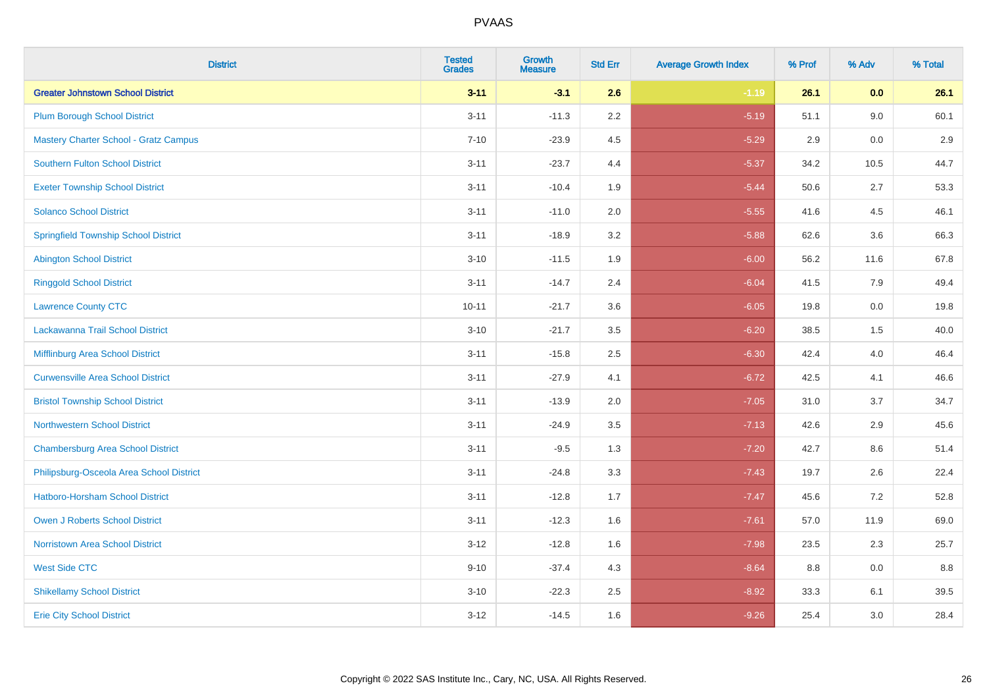| <b>District</b>                              | <b>Tested</b><br><b>Grades</b> | <b>Growth</b><br><b>Measure</b> | <b>Std Err</b> | <b>Average Growth Index</b> | % Prof | % Adv | % Total |
|----------------------------------------------|--------------------------------|---------------------------------|----------------|-----------------------------|--------|-------|---------|
| <b>Greater Johnstown School District</b>     | $3 - 11$                       | $-3.1$                          | 2.6            | $-1.19$                     | 26.1   | 0.0   | 26.1    |
| <b>Plum Borough School District</b>          | $3 - 11$                       | $-11.3$                         | $2.2\,$        | $-5.19$                     | 51.1   | 9.0   | 60.1    |
| <b>Mastery Charter School - Gratz Campus</b> | $7 - 10$                       | $-23.9$                         | 4.5            | $-5.29$                     | 2.9    | 0.0   | 2.9     |
| Southern Fulton School District              | $3 - 11$                       | $-23.7$                         | 4.4            | $-5.37$                     | 34.2   | 10.5  | 44.7    |
| <b>Exeter Township School District</b>       | $3 - 11$                       | $-10.4$                         | 1.9            | $-5.44$                     | 50.6   | 2.7   | 53.3    |
| <b>Solanco School District</b>               | $3 - 11$                       | $-11.0$                         | 2.0            | $-5.55$                     | 41.6   | 4.5   | 46.1    |
| <b>Springfield Township School District</b>  | $3 - 11$                       | $-18.9$                         | 3.2            | $-5.88$                     | 62.6   | 3.6   | 66.3    |
| <b>Abington School District</b>              | $3 - 10$                       | $-11.5$                         | 1.9            | $-6.00$                     | 56.2   | 11.6  | 67.8    |
| <b>Ringgold School District</b>              | $3 - 11$                       | $-14.7$                         | 2.4            | $-6.04$                     | 41.5   | 7.9   | 49.4    |
| <b>Lawrence County CTC</b>                   | $10 - 11$                      | $-21.7$                         | 3.6            | $-6.05$                     | 19.8   | 0.0   | 19.8    |
| Lackawanna Trail School District             | $3 - 10$                       | $-21.7$                         | 3.5            | $-6.20$                     | 38.5   | 1.5   | 40.0    |
| Mifflinburg Area School District             | $3 - 11$                       | $-15.8$                         | 2.5            | $-6.30$                     | 42.4   | 4.0   | 46.4    |
| <b>Curwensville Area School District</b>     | $3 - 11$                       | $-27.9$                         | 4.1            | $-6.72$                     | 42.5   | 4.1   | 46.6    |
| <b>Bristol Township School District</b>      | $3 - 11$                       | $-13.9$                         | 2.0            | $-7.05$                     | 31.0   | 3.7   | 34.7    |
| <b>Northwestern School District</b>          | $3 - 11$                       | $-24.9$                         | 3.5            | $-7.13$                     | 42.6   | 2.9   | 45.6    |
| <b>Chambersburg Area School District</b>     | $3 - 11$                       | $-9.5$                          | 1.3            | $-7.20$                     | 42.7   | 8.6   | 51.4    |
| Philipsburg-Osceola Area School District     | $3 - 11$                       | $-24.8$                         | 3.3            | $-7.43$                     | 19.7   | 2.6   | 22.4    |
| Hatboro-Horsham School District              | $3 - 11$                       | $-12.8$                         | 1.7            | $-7.47$                     | 45.6   | 7.2   | 52.8    |
| <b>Owen J Roberts School District</b>        | $3 - 11$                       | $-12.3$                         | 1.6            | $-7.61$                     | 57.0   | 11.9  | 69.0    |
| <b>Norristown Area School District</b>       | $3 - 12$                       | $-12.8$                         | 1.6            | $-7.98$                     | 23.5   | 2.3   | 25.7    |
| <b>West Side CTC</b>                         | $9 - 10$                       | $-37.4$                         | 4.3            | $-8.64$                     | 8.8    | 0.0   | 8.8     |
| <b>Shikellamy School District</b>            | $3 - 10$                       | $-22.3$                         | 2.5            | $-8.92$                     | 33.3   | 6.1   | 39.5    |
| <b>Erie City School District</b>             | $3 - 12$                       | $-14.5$                         | 1.6            | $-9.26$                     | 25.4   | 3.0   | 28.4    |